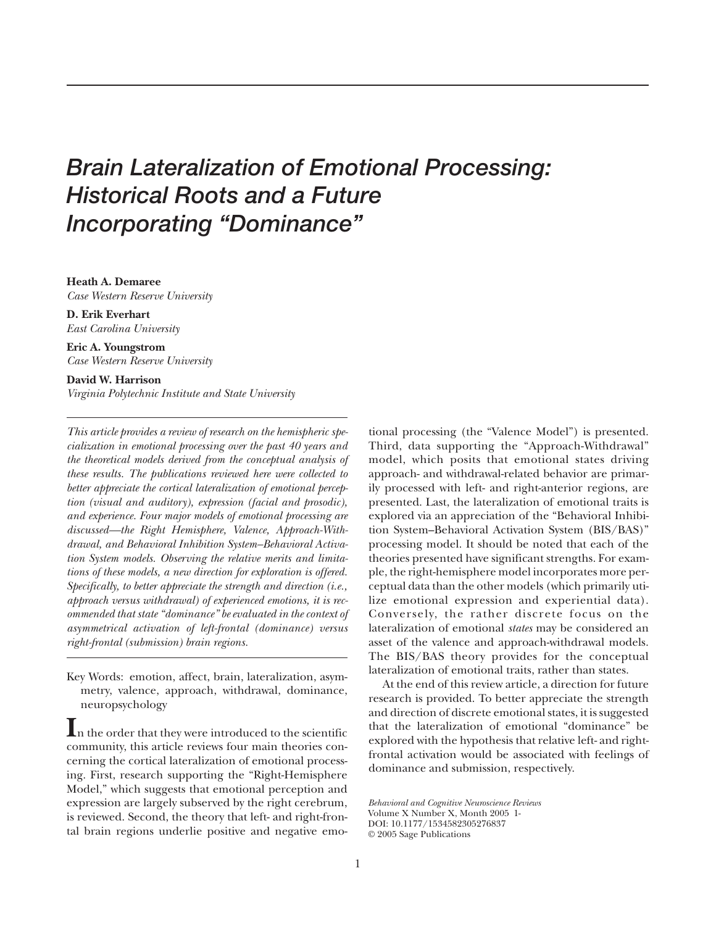# *Brain Lateralization of Emotional Processing: Historical Roots and a Future Incorporating "Dominance"*

**Heath A. Demaree** *Case Western Reserve University*

**D. Erik Everhart** *East Carolina University*

Demaree et al. / LATERALIZATION OF EMOTIONAL PROCESSING

**Eric A. Youngstrom** *Case Western Reserve University*

**David W. Harrison** *Virginia Polytechnic Institute and State University*

*This article provides a review of research on the hemispheric specialization in emotional processing over the past 40 years and the theoretical models derived from the conceptual analysis of these results. The publications reviewed here were collected to better appreciate the cortical lateralization of emotional perception (visual and auditory), expression (facial and prosodic), and experience. Four major models of emotional processing are discussed—the Right Hemisphere, Valence, Approach-Withdrawal, and Behavioral Inhibition System–Behavioral Activation System models. Observing the relative merits and limitations of these models, a new direction for exploration is offered. Specifically, to better appreciate the strength and direction (i.e., approach versus withdrawal) of experienced emotions, it is recommended that state "dominance" be evaluated in the context of asymmetrical activation of left-frontal (dominance) versus right-frontal (submission) brain regions.*

Key Words: emotion, affect, brain, lateralization, asymmetry, valence, approach, withdrawal, dominance, neuropsychology

**I**n the order that they were introduced to the scientific community, this article reviews four main theories concerning the cortical lateralization of emotional processing. First, research supporting the "Right-Hemisphere Model," which suggests that emotional perception and expression are largely subserved by the right cerebrum, is reviewed. Second, the theory that left- and right-frontal brain regions underlie positive and negative emotional processing (the "Valence Model") is presented. Third, data supporting the "Approach-Withdrawal" model, which posits that emotional states driving approach- and withdrawal-related behavior are primarily processed with left- and right-anterior regions, are presented. Last, the lateralization of emotional traits is explored via an appreciation of the "Behavioral Inhibition System–Behavioral Activation System (BIS/BAS)" processing model. It should be noted that each of the theories presented have significant strengths. For example, the right-hemisphere model incorporates more perceptual data than the other models (which primarily utilize emotional expression and experiential data). Conversely, the rather discrete focus on the lateralization of emotional *states* may be considered an asset of the valence and approach-withdrawal models. The BIS/BAS theory provides for the conceptual lateralization of emotional traits, rather than states.

At the end of this review article, a direction for future research is provided. To better appreciate the strength and direction of discrete emotional states, it is suggested that the lateralization of emotional "dominance" be explored with the hypothesis that relative left- and rightfrontal activation would be associated with feelings of dominance and submission, respectively.

*Behavioral and Cognitive Neuroscience Reviews* Volume X Number X, Month 2005 1- DOI: 10.1177/1534582305276837 © 2005 Sage Publications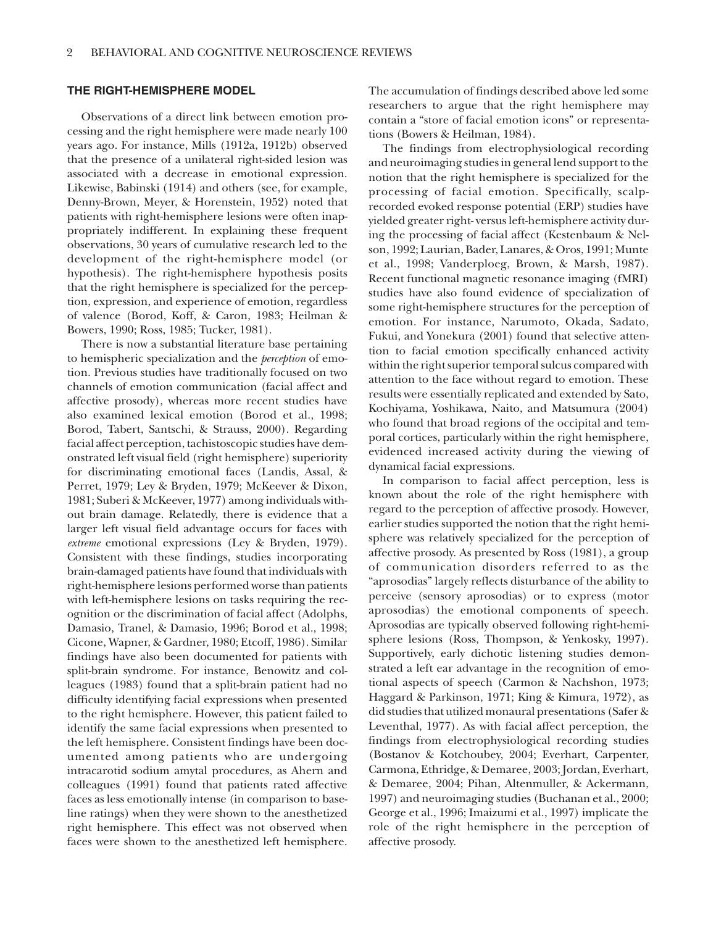#### **THE RIGHT-HEMISPHERE MODEL**

Observations of a direct link between emotion processing and the right hemisphere were made nearly 100 years ago. For instance, Mills (1912a, 1912b) observed that the presence of a unilateral right-sided lesion was associated with a decrease in emotional expression. Likewise, Babinski (1914) and others (see, for example, Denny-Brown, Meyer, & Horenstein, 1952) noted that patients with right-hemisphere lesions were often inappropriately indifferent. In explaining these frequent observations, 30 years of cumulative research led to the development of the right-hemisphere model (or hypothesis). The right-hemisphere hypothesis posits that the right hemisphere is specialized for the perception, expression, and experience of emotion, regardless of valence (Borod, Koff, & Caron, 1983; Heilman & Bowers, 1990; Ross, 1985; Tucker, 1981).

There is now a substantial literature base pertaining to hemispheric specialization and the *perception* of emotion. Previous studies have traditionally focused on two channels of emotion communication (facial affect and affective prosody), whereas more recent studies have also examined lexical emotion (Borod et al., 1998; Borod, Tabert, Santschi, & Strauss, 2000). Regarding facial affect perception, tachistoscopic studies have demonstrated left visual field (right hemisphere) superiority for discriminating emotional faces (Landis, Assal, & Perret, 1979; Ley & Bryden, 1979; McKeever & Dixon, 1981; Suberi & McKeever, 1977) among individuals without brain damage. Relatedly, there is evidence that a larger left visual field advantage occurs for faces with *extreme* emotional expressions (Ley & Bryden, 1979). Consistent with these findings, studies incorporating brain-damaged patients have found that individuals with right-hemisphere lesions performed worse than patients with left-hemisphere lesions on tasks requiring the recognition or the discrimination of facial affect (Adolphs, Damasio, Tranel, & Damasio, 1996; Borod et al., 1998; Cicone, Wapner, & Gardner, 1980; Etcoff, 1986). Similar findings have also been documented for patients with split-brain syndrome. For instance, Benowitz and colleagues (1983) found that a split-brain patient had no difficulty identifying facial expressions when presented to the right hemisphere. However, this patient failed to identify the same facial expressions when presented to the left hemisphere. Consistent findings have been documented among patients who are undergoing intracarotid sodium amytal procedures, as Ahern and colleagues (1991) found that patients rated affective faces as less emotionally intense (in comparison to baseline ratings) when they were shown to the anesthetized right hemisphere. This effect was not observed when faces were shown to the anesthetized left hemisphere.

The accumulation of findings described above led some researchers to argue that the right hemisphere may contain a "store of facial emotion icons" or representations (Bowers & Heilman, 1984).

The findings from electrophysiological recording and neuroimaging studies in general lend support to the notion that the right hemisphere is specialized for the processing of facial emotion. Specifically, scalprecorded evoked response potential (ERP) studies have yielded greater right- versus left-hemisphere activity during the processing of facial affect (Kestenbaum & Nelson, 1992; Laurian, Bader, Lanares, & Oros, 1991; Munte et al., 1998; Vanderploeg, Brown, & Marsh, 1987). Recent functional magnetic resonance imaging (fMRI) studies have also found evidence of specialization of some right-hemisphere structures for the perception of emotion. For instance, Narumoto, Okada, Sadato, Fukui, and Yonekura (2001) found that selective attention to facial emotion specifically enhanced activity within the right superior temporal sulcus compared with attention to the face without regard to emotion. These results were essentially replicated and extended by Sato, Kochiyama, Yoshikawa, Naito, and Matsumura (2004) who found that broad regions of the occipital and temporal cortices, particularly within the right hemisphere, evidenced increased activity during the viewing of dynamical facial expressions.

In comparison to facial affect perception, less is known about the role of the right hemisphere with regard to the perception of affective prosody. However, earlier studies supported the notion that the right hemisphere was relatively specialized for the perception of affective prosody. As presented by Ross (1981), a group of communication disorders referred to as the "aprosodias" largely reflects disturbance of the ability to perceive (sensory aprosodias) or to express (motor aprosodias) the emotional components of speech. Aprosodias are typically observed following right-hemisphere lesions (Ross, Thompson, & Yenkosky, 1997). Supportively, early dichotic listening studies demonstrated a left ear advantage in the recognition of emotional aspects of speech (Carmon & Nachshon, 1973; Haggard & Parkinson, 1971; King & Kimura, 1972), as did studies that utilized monaural presentations (Safer & Leventhal, 1977). As with facial affect perception, the findings from electrophysiological recording studies (Bostanov & Kotchoubey, 2004; Everhart, Carpenter, Carmona, Ethridge, & Demaree, 2003; Jordan, Everhart, & Demaree, 2004; Pihan, Altenmuller, & Ackermann, 1997) and neuroimaging studies (Buchanan et al., 2000; George et al., 1996; Imaizumi et al., 1997) implicate the role of the right hemisphere in the perception of affective prosody.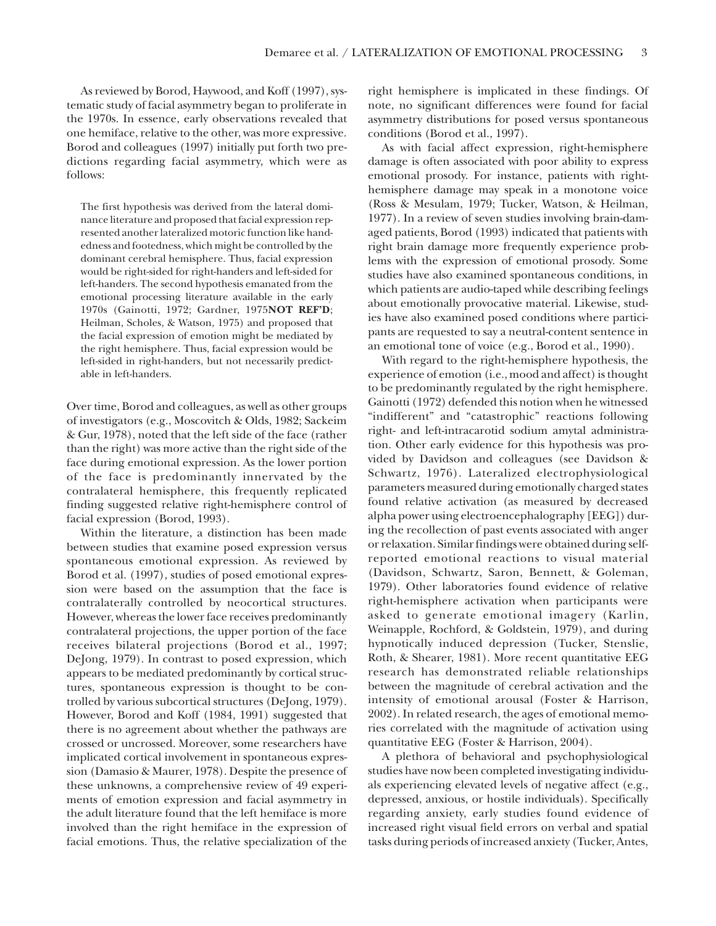As reviewed by Borod, Haywood, and Koff (1997), systematic study of facial asymmetry began to proliferate in the 1970s. In essence, early observations revealed that one hemiface, relative to the other, was more expressive. Borod and colleagues (1997) initially put forth two predictions regarding facial asymmetry, which were as follows:

The first hypothesis was derived from the lateral dominance literature and proposed that facial expression represented another lateralized motoric function like handedness and footedness, which might be controlled by the dominant cerebral hemisphere. Thus, facial expression would be right-sided for right-handers and left-sided for left-handers. The second hypothesis emanated from the emotional processing literature available in the early 1970s (Gainotti, 1972; Gardner, 1975**NOT REF'D**; Heilman, Scholes, & Watson, 1975) and proposed that the facial expression of emotion might be mediated by the right hemisphere. Thus, facial expression would be left-sided in right-handers, but not necessarily predictable in left-handers.

Over time, Borod and colleagues, as well as other groups of investigators (e.g., Moscovitch & Olds, 1982; Sackeim & Gur, 1978), noted that the left side of the face (rather than the right) was more active than the right side of the face during emotional expression. As the lower portion of the face is predominantly innervated by the contralateral hemisphere, this frequently replicated finding suggested relative right-hemisphere control of facial expression (Borod, 1993).

Within the literature, a distinction has been made between studies that examine posed expression versus spontaneous emotional expression. As reviewed by Borod et al. (1997), studies of posed emotional expression were based on the assumption that the face is contralaterally controlled by neocortical structures. However, whereas the lower face receives predominantly contralateral projections, the upper portion of the face receives bilateral projections (Borod et al., 1997; DeJong, 1979). In contrast to posed expression, which appears to be mediated predominantly by cortical structures, spontaneous expression is thought to be controlled by various subcortical structures (DeJong, 1979). However, Borod and Koff (1984, 1991) suggested that there is no agreement about whether the pathways are crossed or uncrossed. Moreover, some researchers have implicated cortical involvement in spontaneous expression (Damasio & Maurer, 1978). Despite the presence of these unknowns, a comprehensive review of 49 experiments of emotion expression and facial asymmetry in the adult literature found that the left hemiface is more involved than the right hemiface in the expression of facial emotions. Thus, the relative specialization of the

right hemisphere is implicated in these findings. Of note, no significant differences were found for facial asymmetry distributions for posed versus spontaneous conditions (Borod et al., 1997).

As with facial affect expression, right-hemisphere damage is often associated with poor ability to express emotional prosody. For instance, patients with righthemisphere damage may speak in a monotone voice (Ross & Mesulam, 1979; Tucker, Watson, & Heilman, 1977). In a review of seven studies involving brain-damaged patients, Borod (1993) indicated that patients with right brain damage more frequently experience problems with the expression of emotional prosody. Some studies have also examined spontaneous conditions, in which patients are audio-taped while describing feelings about emotionally provocative material. Likewise, studies have also examined posed conditions where participants are requested to say a neutral-content sentence in an emotional tone of voice (e.g., Borod et al., 1990).

With regard to the right-hemisphere hypothesis, the experience of emotion (i.e., mood and affect) is thought to be predominantly regulated by the right hemisphere. Gainotti (1972) defended this notion when he witnessed "indifferent" and "catastrophic" reactions following right- and left-intracarotid sodium amytal administration. Other early evidence for this hypothesis was provided by Davidson and colleagues (see Davidson & Schwartz, 1976). Lateralized electrophysiological parameters measured during emotionally charged states found relative activation (as measured by decreased alpha power using electroencephalography [EEG]) during the recollection of past events associated with anger or relaxation. Similar findings were obtained during selfreported emotional reactions to visual material (Davidson, Schwartz, Saron, Bennett, & Goleman, 1979). Other laboratories found evidence of relative right-hemisphere activation when participants were asked to generate emotional imagery (Karlin, Weinapple, Rochford, & Goldstein, 1979), and during hypnotically induced depression (Tucker, Stenslie, Roth, & Shearer, 1981). More recent quantitative EEG research has demonstrated reliable relationships between the magnitude of cerebral activation and the intensity of emotional arousal (Foster & Harrison, 2002). In related research, the ages of emotional memories correlated with the magnitude of activation using quantitative EEG (Foster & Harrison, 2004).

A plethora of behavioral and psychophysiological studies have now been completed investigating individuals experiencing elevated levels of negative affect (e.g., depressed, anxious, or hostile individuals). Specifically regarding anxiety, early studies found evidence of increased right visual field errors on verbal and spatial tasks during periods of increased anxiety (Tucker, Antes,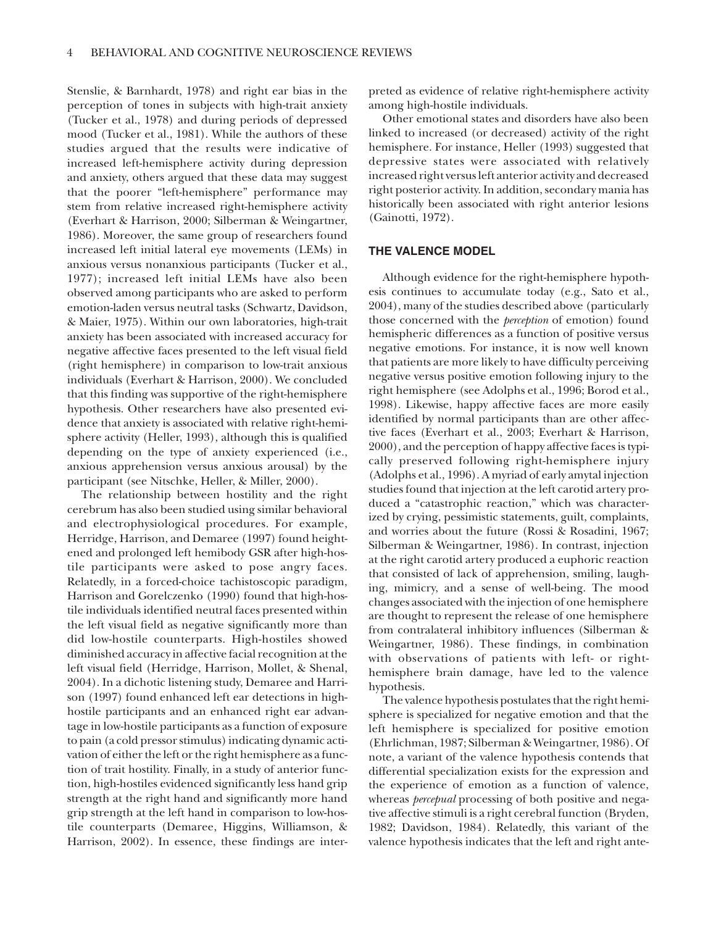Stenslie, & Barnhardt, 1978) and right ear bias in the perception of tones in subjects with high-trait anxiety (Tucker et al., 1978) and during periods of depressed mood (Tucker et al., 1981). While the authors of these studies argued that the results were indicative of increased left-hemisphere activity during depression and anxiety, others argued that these data may suggest that the poorer "left-hemisphere" performance may stem from relative increased right-hemisphere activity (Everhart & Harrison, 2000; Silberman & Weingartner, 1986). Moreover, the same group of researchers found increased left initial lateral eye movements (LEMs) in anxious versus nonanxious participants (Tucker et al., 1977); increased left initial LEMs have also been observed among participants who are asked to perform emotion-laden versus neutral tasks (Schwartz, Davidson, & Maier, 1975). Within our own laboratories, high-trait anxiety has been associated with increased accuracy for negative affective faces presented to the left visual field (right hemisphere) in comparison to low-trait anxious individuals (Everhart & Harrison, 2000). We concluded that this finding was supportive of the right-hemisphere hypothesis. Other researchers have also presented evidence that anxiety is associated with relative right-hemisphere activity (Heller, 1993), although this is qualified depending on the type of anxiety experienced (i.e., anxious apprehension versus anxious arousal) by the participant (see Nitschke, Heller, & Miller, 2000).

The relationship between hostility and the right cerebrum has also been studied using similar behavioral and electrophysiological procedures. For example, Herridge, Harrison, and Demaree (1997) found heightened and prolonged left hemibody GSR after high-hostile participants were asked to pose angry faces. Relatedly, in a forced-choice tachistoscopic paradigm, Harrison and Gorelczenko (1990) found that high-hostile individuals identified neutral faces presented within the left visual field as negative significantly more than did low-hostile counterparts. High-hostiles showed diminished accuracy in affective facial recognition at the left visual field (Herridge, Harrison, Mollet, & Shenal, 2004). In a dichotic listening study, Demaree and Harrison (1997) found enhanced left ear detections in highhostile participants and an enhanced right ear advantage in low-hostile participants as a function of exposure to pain (a cold pressor stimulus) indicating dynamic activation of either the left or the right hemisphere as a function of trait hostility. Finally, in a study of anterior function, high-hostiles evidenced significantly less hand grip strength at the right hand and significantly more hand grip strength at the left hand in comparison to low-hostile counterparts (Demaree, Higgins, Williamson, & Harrison, 2002). In essence, these findings are inter-

preted as evidence of relative right-hemisphere activity among high-hostile individuals.

Other emotional states and disorders have also been linked to increased (or decreased) activity of the right hemisphere. For instance, Heller (1993) suggested that depressive states were associated with relatively increased right versus left anterior activity and decreased right posterior activity. In addition, secondary mania has historically been associated with right anterior lesions (Gainotti, 1972).

#### **THE VALENCE MODEL**

Although evidence for the right-hemisphere hypothesis continues to accumulate today (e.g., Sato et al., 2004), many of the studies described above (particularly those concerned with the *perception* of emotion) found hemispheric differences as a function of positive versus negative emotions. For instance, it is now well known that patients are more likely to have difficulty perceiving negative versus positive emotion following injury to the right hemisphere (see Adolphs et al., 1996; Borod et al., 1998). Likewise, happy affective faces are more easily identified by normal participants than are other affective faces (Everhart et al., 2003; Everhart & Harrison, 2000), and the perception of happy affective faces is typically preserved following right-hemisphere injury (Adolphs et al., 1996). A myriad of early amytal injection studies found that injection at the left carotid artery produced a "catastrophic reaction," which was characterized by crying, pessimistic statements, guilt, complaints, and worries about the future (Rossi & Rosadini, 1967; Silberman & Weingartner, 1986). In contrast, injection at the right carotid artery produced a euphoric reaction that consisted of lack of apprehension, smiling, laughing, mimicry, and a sense of well-being. The mood changes associated with the injection of one hemisphere are thought to represent the release of one hemisphere from contralateral inhibitory influences (Silberman & Weingartner, 1986). These findings, in combination with observations of patients with left- or righthemisphere brain damage, have led to the valence hypothesis.

The valence hypothesis postulates that the right hemisphere is specialized for negative emotion and that the left hemisphere is specialized for positive emotion (Ehrlichman, 1987; Silberman & Weingartner, 1986). Of note, a variant of the valence hypothesis contends that differential specialization exists for the expression and the experience of emotion as a function of valence, whereas *percepual* processing of both positive and negative affective stimuli is a right cerebral function (Bryden, 1982; Davidson, 1984). Relatedly, this variant of the valence hypothesis indicates that the left and right ante-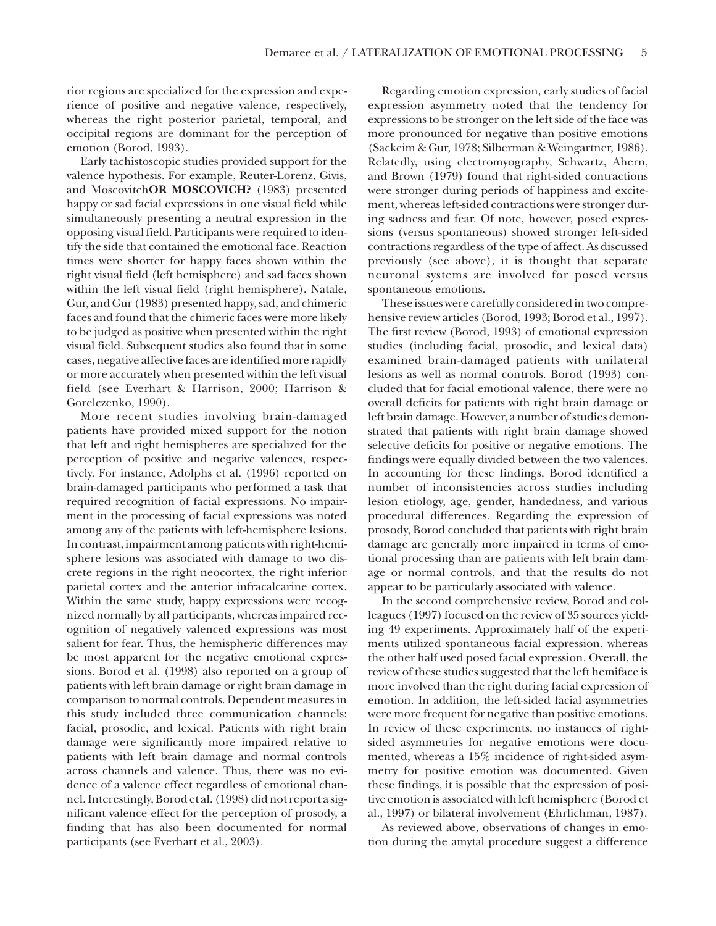rior regions are specialized for the expression and experience of positive and negative valence, respectively, whereas the right posterior parietal, temporal, and occipital regions are dominant for the perception of emotion (Borod, 1993).

Early tachistoscopic studies provided support for the valence hypothesis. For example, Reuter-Lorenz, Givis, and Moscovitch**OR MOSCOVICH?** (1983) presented happy or sad facial expressions in one visual field while simultaneously presenting a neutral expression in the opposing visual field. Participants were required to identify the side that contained the emotional face. Reaction times were shorter for happy faces shown within the right visual field (left hemisphere) and sad faces shown within the left visual field (right hemisphere). Natale, Gur, and Gur (1983) presented happy, sad, and chimeric faces and found that the chimeric faces were more likely to be judged as positive when presented within the right visual field. Subsequent studies also found that in some cases, negative affective faces are identified more rapidly or more accurately when presented within the left visual field (see Everhart & Harrison, 2000; Harrison & Gorelczenko, 1990).

More recent studies involving brain-damaged patients have provided mixed support for the notion that left and right hemispheres are specialized for the perception of positive and negative valences, respectively. For instance, Adolphs et al. (1996) reported on brain-damaged participants who performed a task that required recognition of facial expressions. No impairment in the processing of facial expressions was noted among any of the patients with left-hemisphere lesions. In contrast, impairment among patients with right-hemisphere lesions was associated with damage to two discrete regions in the right neocortex, the right inferior parietal cortex and the anterior infracalcarine cortex. Within the same study, happy expressions were recognized normally by all participants, whereas impaired recognition of negatively valenced expressions was most salient for fear. Thus, the hemispheric differences may be most apparent for the negative emotional expressions. Borod et al. (1998) also reported on a group of patients with left brain damage or right brain damage in comparison to normal controls. Dependent measures in this study included three communication channels: facial, prosodic, and lexical. Patients with right brain damage were significantly more impaired relative to patients with left brain damage and normal controls across channels and valence. Thus, there was no evidence of a valence effect regardless of emotional channel. Interestingly, Borod et al. (1998) did not report a significant valence effect for the perception of prosody, a finding that has also been documented for normal participants (see Everhart et al., 2003).

Regarding emotion expression, early studies of facial expression asymmetry noted that the tendency for expressions to be stronger on the left side of the face was more pronounced for negative than positive emotions (Sackeim & Gur, 1978; Silberman & Weingartner, 1986). Relatedly, using electromyography, Schwartz, Ahern, and Brown (1979) found that right-sided contractions were stronger during periods of happiness and excitement, whereas left-sided contractions were stronger during sadness and fear. Of note, however, posed expressions (versus spontaneous) showed stronger left-sided contractions regardless of the type of affect. As discussed previously (see above), it is thought that separate neuronal systems are involved for posed versus spontaneous emotions.

These issues were carefully considered in two comprehensive review articles (Borod, 1993; Borod et al., 1997). The first review (Borod, 1993) of emotional expression studies (including facial, prosodic, and lexical data) examined brain-damaged patients with unilateral lesions as well as normal controls. Borod (1993) concluded that for facial emotional valence, there were no overall deficits for patients with right brain damage or left brain damage. However, a number of studies demonstrated that patients with right brain damage showed selective deficits for positive or negative emotions. The findings were equally divided between the two valences. In accounting for these findings, Borod identified a number of inconsistencies across studies including lesion etiology, age, gender, handedness, and various procedural differences. Regarding the expression of prosody, Borod concluded that patients with right brain damage are generally more impaired in terms of emotional processing than are patients with left brain damage or normal controls, and that the results do not appear to be particularly associated with valence.

In the second comprehensive review, Borod and colleagues (1997) focused on the review of 35 sources yielding 49 experiments. Approximately half of the experiments utilized spontaneous facial expression, whereas the other half used posed facial expression. Overall, the review of these studies suggested that the left hemiface is more involved than the right during facial expression of emotion. In addition, the left-sided facial asymmetries were more frequent for negative than positive emotions. In review of these experiments, no instances of rightsided asymmetries for negative emotions were documented, whereas a 15% incidence of right-sided asymmetry for positive emotion was documented. Given these findings, it is possible that the expression of positive emotion is associated with left hemisphere (Borod et al., 1997) or bilateral involvement (Ehrlichman, 1987).

As reviewed above, observations of changes in emotion during the amytal procedure suggest a difference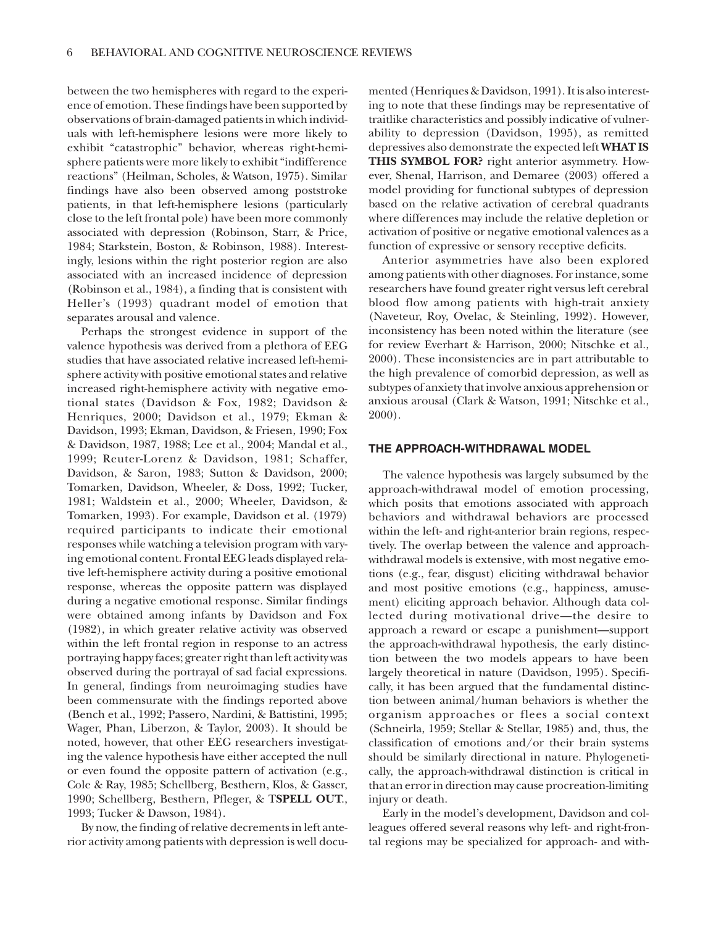between the two hemispheres with regard to the experience of emotion. These findings have been supported by observations of brain-damaged patients in which individuals with left-hemisphere lesions were more likely to exhibit "catastrophic" behavior, whereas right-hemisphere patients were more likely to exhibit "indifference reactions" (Heilman, Scholes, & Watson, 1975). Similar findings have also been observed among poststroke patients, in that left-hemisphere lesions (particularly close to the left frontal pole) have been more commonly associated with depression (Robinson, Starr, & Price, 1984; Starkstein, Boston, & Robinson, 1988). Interestingly, lesions within the right posterior region are also associated with an increased incidence of depression (Robinson et al., 1984), a finding that is consistent with Heller's (1993) quadrant model of emotion that separates arousal and valence.

Perhaps the strongest evidence in support of the valence hypothesis was derived from a plethora of EEG studies that have associated relative increased left-hemisphere activity with positive emotional states and relative increased right-hemisphere activity with negative emotional states (Davidson & Fox, 1982; Davidson & Henriques, 2000; Davidson et al., 1979; Ekman & Davidson, 1993; Ekman, Davidson, & Friesen, 1990; Fox & Davidson, 1987, 1988; Lee et al., 2004; Mandal et al., 1999; Reuter-Lorenz & Davidson, 1981; Schaffer, Davidson, & Saron, 1983; Sutton & Davidson, 2000; Tomarken, Davidson, Wheeler, & Doss, 1992; Tucker, 1981; Waldstein et al., 2000; Wheeler, Davidson, & Tomarken, 1993). For example, Davidson et al. (1979) required participants to indicate their emotional responses while watching a television program with varying emotional content. Frontal EEG leads displayed relative left-hemisphere activity during a positive emotional response, whereas the opposite pattern was displayed during a negative emotional response. Similar findings were obtained among infants by Davidson and Fox (1982), in which greater relative activity was observed within the left frontal region in response to an actress portraying happy faces; greater right than left activity was observed during the portrayal of sad facial expressions. In general, findings from neuroimaging studies have been commensurate with the findings reported above (Bench et al., 1992; Passero, Nardini, & Battistini, 1995; Wager, Phan, Liberzon, & Taylor, 2003). It should be noted, however, that other EEG researchers investigating the valence hypothesis have either accepted the null or even found the opposite pattern of activation (e.g., Cole & Ray, 1985; Schellberg, Besthern, Klos, & Gasser, 1990; Schellberg, Besthern, Pfleger, & T**SPELL OUT**., 1993; Tucker & Dawson, 1984).

By now, the finding of relative decrements in left anterior activity among patients with depression is well documented (Henriques & Davidson, 1991). It is also interesting to note that these findings may be representative of traitlike characteristics and possibly indicative of vulnerability to depression (Davidson, 1995), as remitted depressives also demonstrate the expected left **WHAT IS THIS SYMBOL FOR?** right anterior asymmetry. However, Shenal, Harrison, and Demaree (2003) offered a model providing for functional subtypes of depression based on the relative activation of cerebral quadrants where differences may include the relative depletion or activation of positive or negative emotional valences as a function of expressive or sensory receptive deficits.

Anterior asymmetries have also been explored among patients with other diagnoses. For instance, some researchers have found greater right versus left cerebral blood flow among patients with high-trait anxiety (Naveteur, Roy, Ovelac, & Steinling, 1992). However, inconsistency has been noted within the literature (see for review Everhart & Harrison, 2000; Nitschke et al., 2000). These inconsistencies are in part attributable to the high prevalence of comorbid depression, as well as subtypes of anxiety that involve anxious apprehension or anxious arousal (Clark & Watson, 1991; Nitschke et al., 2000).

## **THE APPROACH-WITHDRAWAL MODEL**

The valence hypothesis was largely subsumed by the approach-withdrawal model of emotion processing, which posits that emotions associated with approach behaviors and withdrawal behaviors are processed within the left- and right-anterior brain regions, respectively. The overlap between the valence and approachwithdrawal models is extensive, with most negative emotions (e.g., fear, disgust) eliciting withdrawal behavior and most positive emotions (e.g., happiness, amusement) eliciting approach behavior. Although data collected during motivational drive—the desire to approach a reward or escape a punishment—support the approach-withdrawal hypothesis, the early distinction between the two models appears to have been largely theoretical in nature (Davidson, 1995). Specifically, it has been argued that the fundamental distinction between animal/human behaviors is whether the organism approaches or flees a social context (Schneirla, 1959; Stellar & Stellar, 1985) and, thus, the classification of emotions and/or their brain systems should be similarly directional in nature. Phylogenetically, the approach-withdrawal distinction is critical in that an error in direction may cause procreation-limiting injury or death.

Early in the model's development, Davidson and colleagues offered several reasons why left- and right-frontal regions may be specialized for approach- and with-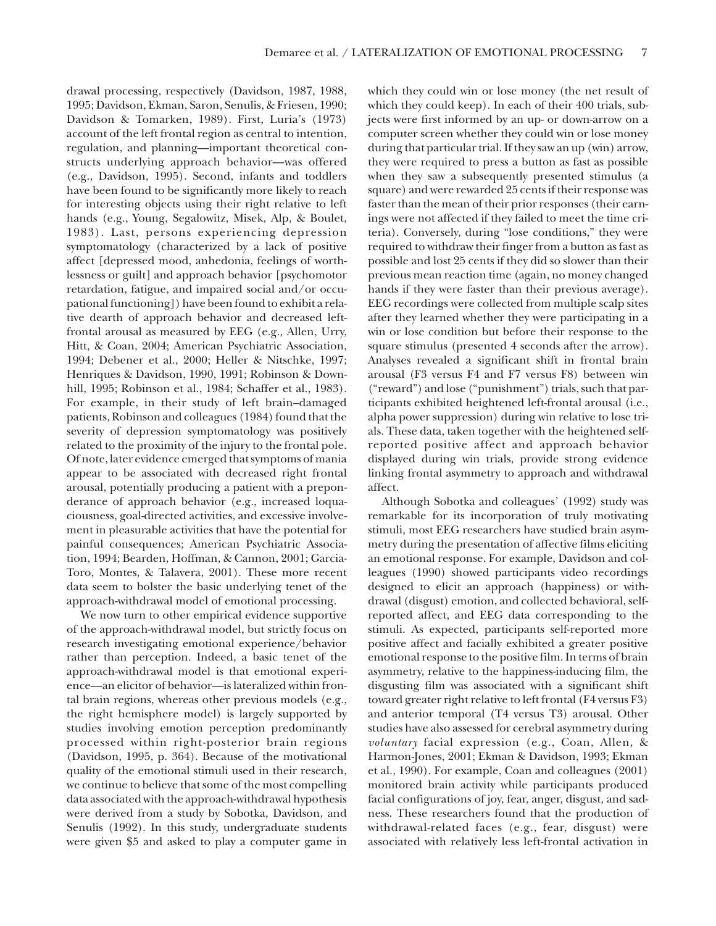drawal processing, respectively (Davidson, 1987, 1988, 1995; Davidson, Ekman, Saron, Senulis, & Friesen, 1990; Davidson & Tomarken, 1989). First, Luria's (1973) account of the left frontal region as central to intention, regulation, and planning—important theoretical constructs underlying approach behavior—was offered (e.g., Davidson, 1995). Second, infants and toddlers have been found to be significantly more likely to reach for interesting objects using their right relative to left hands (e.g., Young, Segalowitz, Misek, Alp, & Boulet, 1983). Last, persons experiencing depression symptomatology (characterized by a lack of positive affect [depressed mood, anhedonia, feelings of worthlessness or guilt] and approach behavior [psychomotor retardation, fatigue, and impaired social and/or occupational functioning]) have been found to exhibit a relative dearth of approach behavior and decreased leftfrontal arousal as measured by EEG (e.g., Allen, Urry, Hitt, & Coan, 2004; American Psychiatric Association, 1994; Debener et al., 2000; Heller & Nitschke, 1997; Henriques & Davidson, 1990, 1991; Robinson & Downhill, 1995; Robinson et al., 1984; Schaffer et al., 1983). For example, in their study of left brain–damaged patients, Robinson and colleagues (1984) found that the severity of depression symptomatology was positively related to the proximity of the injury to the frontal pole. Of note, later evidence emerged that symptoms of mania appear to be associated with decreased right frontal arousal, potentially producing a patient with a preponderance of approach behavior (e.g., increased loquaciousness, goal-directed activities, and excessive involvement in pleasurable activities that have the potential for painful consequences; American Psychiatric Association, 1994; Bearden, Hoffman, & Cannon, 2001; Garcia-Toro, Montes, & Talavera, 2001). These more recent data seem to bolster the basic underlying tenet of the approach-withdrawal model of emotional processing.

We now turn to other empirical evidence supportive of the approach-withdrawal model, but strictly focus on research investigating emotional experience/behavior rather than perception. Indeed, a basic tenet of the approach-withdrawal model is that emotional experience—an elicitor of behavior—is lateralized within frontal brain regions, whereas other previous models (e.g., the right hemisphere model) is largely supported by studies involving emotion perception predominantly processed within right-posterior brain regions (Davidson, 1995, p. 364). Because of the motivational quality of the emotional stimuli used in their research, we continue to believe that some of the most compelling data associated with the approach-withdrawal hypothesis were derived from a study by Sobotka, Davidson, and Senulis (1992). In this study, undergraduate students were given \$5 and asked to play a computer game in which they could win or lose money (the net result of which they could keep). In each of their 400 trials, subjects were first informed by an up- or down-arrow on a computer screen whether they could win or lose money during that particular trial. If they saw an up (win) arrow, they were required to press a button as fast as possible when they saw a subsequently presented stimulus (a square) and were rewarded 25 cents if their response was faster than the mean of their prior responses (their earnings were not affected if they failed to meet the time criteria). Conversely, during "lose conditions," they were required to withdraw their finger from a button as fast as possible and lost 25 cents if they did so slower than their previous mean reaction time (again, no money changed hands if they were faster than their previous average). EEG recordings were collected from multiple scalp sites after they learned whether they were participating in a win or lose condition but before their response to the square stimulus (presented 4 seconds after the arrow). Analyses revealed a significant shift in frontal brain arousal (F3 versus F4 and F7 versus F8) between win ("reward") and lose ("punishment") trials, such that participants exhibited heightened left-frontal arousal (i.e., alpha power suppression) during win relative to lose trials. These data, taken together with the heightened selfreported positive affect and approach behavior displayed during win trials, provide strong evidence linking frontal asymmetry to approach and withdrawal affect.

Although Sobotka and colleagues' (1992) study was remarkable for its incorporation of truly motivating stimuli, most EEG researchers have studied brain asymmetry during the presentation of affective films eliciting an emotional response. For example, Davidson and colleagues (1990) showed participants video recordings designed to elicit an approach (happiness) or withdrawal (disgust) emotion, and collected behavioral, selfreported affect, and EEG data corresponding to the stimuli. As expected, participants self-reported more positive affect and facially exhibited a greater positive emotional response to the positive film. In terms of brain asymmetry, relative to the happiness-inducing film, the disgusting film was associated with a significant shift toward greater right relative to left frontal (F4 versus F3) and anterior temporal (T4 versus T3) arousal. Other studies have also assessed for cerebral asymmetry during *voluntary* facial expression (e.g., Coan, Allen, & Harmon-Jones, 2001; Ekman & Davidson, 1993; Ekman et al., 1990). For example, Coan and colleagues (2001) monitored brain activity while participants produced facial configurations of joy, fear, anger, disgust, and sadness. These researchers found that the production of withdrawal-related faces (e.g., fear, disgust) were associated with relatively less left-frontal activation in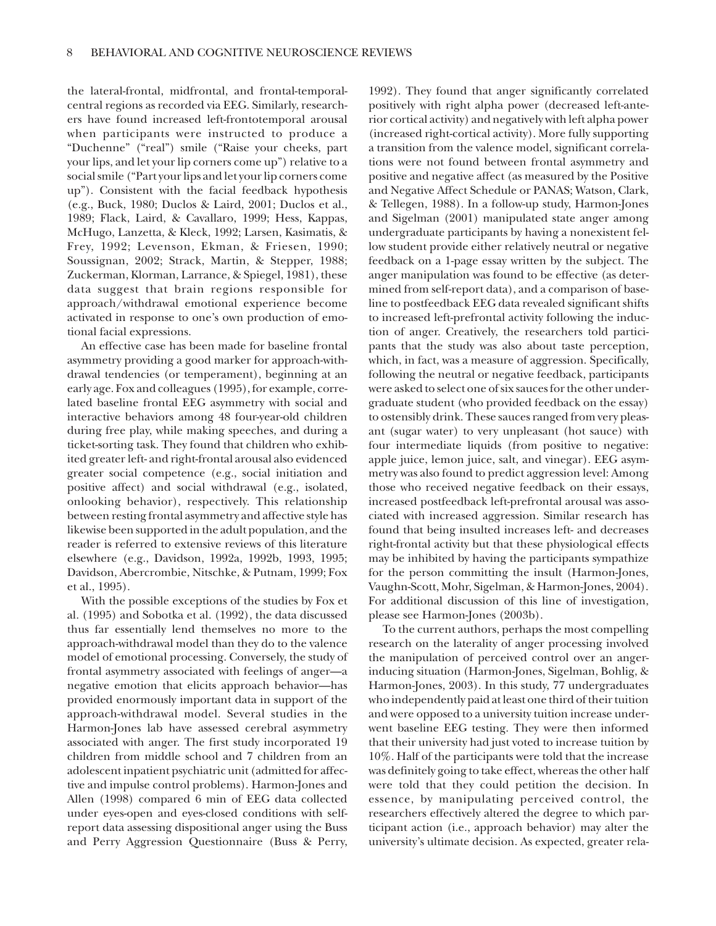the lateral-frontal, midfrontal, and frontal-temporalcentral regions as recorded via EEG. Similarly, researchers have found increased left-frontotemporal arousal when participants were instructed to produce a "Duchenne" ("real") smile ("Raise your cheeks, part your lips, and let your lip corners come up") relative to a social smile ("Part your lips and let your lip corners come up"). Consistent with the facial feedback hypothesis (e.g., Buck, 1980; Duclos & Laird, 2001; Duclos et al., 1989; Flack, Laird, & Cavallaro, 1999; Hess, Kappas, McHugo, Lanzetta, & Kleck, 1992; Larsen, Kasimatis, & Frey, 1992; Levenson, Ekman, & Friesen, 1990; Soussignan, 2002; Strack, Martin, & Stepper, 1988; Zuckerman, Klorman, Larrance, & Spiegel, 1981), these data suggest that brain regions responsible for approach/withdrawal emotional experience become activated in response to one's own production of emotional facial expressions.

An effective case has been made for baseline frontal asymmetry providing a good marker for approach-withdrawal tendencies (or temperament), beginning at an early age. Fox and colleagues (1995), for example, correlated baseline frontal EEG asymmetry with social and interactive behaviors among 48 four-year-old children during free play, while making speeches, and during a ticket-sorting task. They found that children who exhibited greater left- and right-frontal arousal also evidenced greater social competence (e.g., social initiation and positive affect) and social withdrawal (e.g., isolated, onlooking behavior), respectively. This relationship between resting frontal asymmetry and affective style has likewise been supported in the adult population, and the reader is referred to extensive reviews of this literature elsewhere (e.g., Davidson, 1992a, 1992b, 1993, 1995; Davidson, Abercrombie, Nitschke, & Putnam, 1999; Fox et al., 1995).

With the possible exceptions of the studies by Fox et al. (1995) and Sobotka et al. (1992), the data discussed thus far essentially lend themselves no more to the approach-withdrawal model than they do to the valence model of emotional processing. Conversely, the study of frontal asymmetry associated with feelings of anger—a negative emotion that elicits approach behavior—has provided enormously important data in support of the approach-withdrawal model. Several studies in the Harmon-Jones lab have assessed cerebral asymmetry associated with anger. The first study incorporated 19 children from middle school and 7 children from an adolescent inpatient psychiatric unit (admitted for affective and impulse control problems). Harmon-Jones and Allen (1998) compared 6 min of EEG data collected under eyes-open and eyes-closed conditions with selfreport data assessing dispositional anger using the Buss and Perry Aggression Questionnaire (Buss & Perry,

1992). They found that anger significantly correlated positively with right alpha power (decreased left-anterior cortical activity) and negatively with left alpha power (increased right-cortical activity). More fully supporting a transition from the valence model, significant correlations were not found between frontal asymmetry and positive and negative affect (as measured by the Positive and Negative Affect Schedule or PANAS; Watson, Clark, & Tellegen, 1988). In a follow-up study, Harmon-Jones and Sigelman (2001) manipulated state anger among undergraduate participants by having a nonexistent fellow student provide either relatively neutral or negative feedback on a 1-page essay written by the subject. The anger manipulation was found to be effective (as determined from self-report data), and a comparison of baseline to postfeedback EEG data revealed significant shifts to increased left-prefrontal activity following the induction of anger. Creatively, the researchers told participants that the study was also about taste perception, which, in fact, was a measure of aggression. Specifically, following the neutral or negative feedback, participants were asked to select one of six sauces for the other undergraduate student (who provided feedback on the essay) to ostensibly drink. These sauces ranged from very pleasant (sugar water) to very unpleasant (hot sauce) with four intermediate liquids (from positive to negative: apple juice, lemon juice, salt, and vinegar). EEG asymmetry was also found to predict aggression level: Among those who received negative feedback on their essays, increased postfeedback left-prefrontal arousal was associated with increased aggression. Similar research has found that being insulted increases left- and decreases right-frontal activity but that these physiological effects may be inhibited by having the participants sympathize for the person committing the insult (Harmon-Jones, Vaughn-Scott, Mohr, Sigelman, & Harmon-Jones, 2004). For additional discussion of this line of investigation, please see Harmon-Jones (2003b).

To the current authors, perhaps the most compelling research on the laterality of anger processing involved the manipulation of perceived control over an angerinducing situation (Harmon-Jones, Sigelman, Bohlig, & Harmon-Jones, 2003). In this study, 77 undergraduates who independently paid at least one third of their tuition and were opposed to a university tuition increase underwent baseline EEG testing. They were then informed that their university had just voted to increase tuition by 10%. Half of the participants were told that the increase was definitely going to take effect, whereas the other half were told that they could petition the decision. In essence, by manipulating perceived control, the researchers effectively altered the degree to which participant action (i.e., approach behavior) may alter the university's ultimate decision. As expected, greater rela-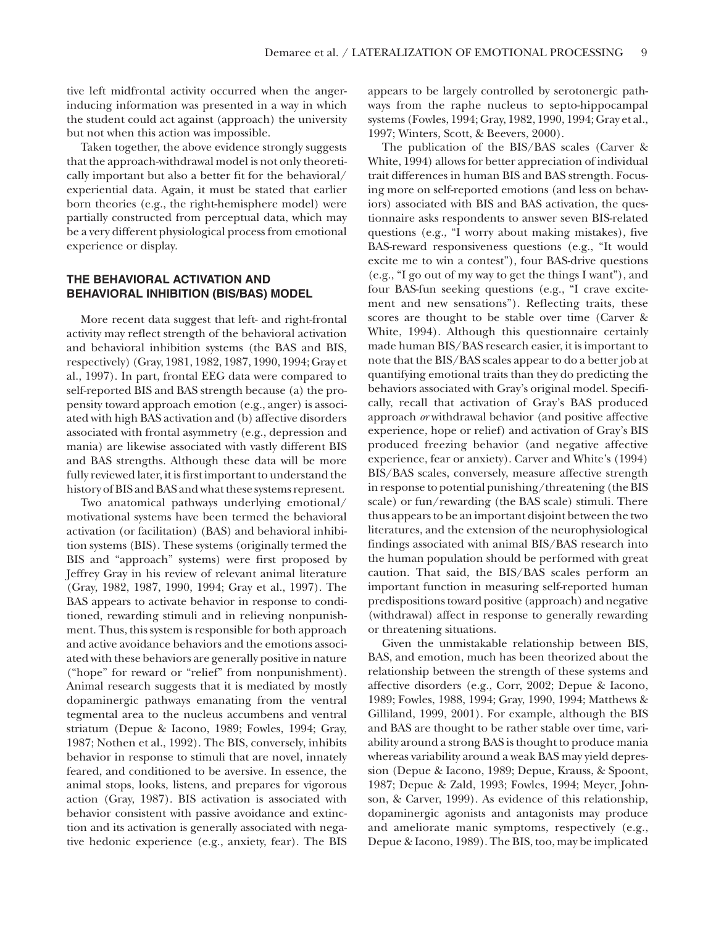tive left midfrontal activity occurred when the angerinducing information was presented in a way in which the student could act against (approach) the university but not when this action was impossible.

Taken together, the above evidence strongly suggests that the approach-withdrawal model is not only theoretically important but also a better fit for the behavioral/ experiential data. Again, it must be stated that earlier born theories (e.g., the right-hemisphere model) were partially constructed from perceptual data, which may be a very different physiological process from emotional experience or display.

### **THE BEHAVIORAL ACTIVATION AND BEHAVIORAL INHIBITION (BIS/BAS) MODEL**

More recent data suggest that left- and right-frontal activity may reflect strength of the behavioral activation and behavioral inhibition systems (the BAS and BIS, respectively) (Gray, 1981, 1982, 1987, 1990, 1994; Gray et al., 1997). In part, frontal EEG data were compared to self-reported BIS and BAS strength because (a) the propensity toward approach emotion (e.g., anger) is associated with high BAS activation and (b) affective disorders associated with frontal asymmetry (e.g., depression and mania) are likewise associated with vastly different BIS and BAS strengths. Although these data will be more fully reviewed later, it is first important to understand the history of BIS and BAS and what these systems represent.

Two anatomical pathways underlying emotional/ motivational systems have been termed the behavioral activation (or facilitation) (BAS) and behavioral inhibition systems (BIS). These systems (originally termed the BIS and "approach" systems) were first proposed by Jeffrey Gray in his review of relevant animal literature (Gray, 1982, 1987, 1990, 1994; Gray et al., 1997). The BAS appears to activate behavior in response to conditioned, rewarding stimuli and in relieving nonpunishment. Thus, this system is responsible for both approach and active avoidance behaviors and the emotions associated with these behaviors are generally positive in nature ("hope" for reward or "relief" from nonpunishment). Animal research suggests that it is mediated by mostly dopaminergic pathways emanating from the ventral tegmental area to the nucleus accumbens and ventral striatum (Depue & Iacono, 1989; Fowles, 1994; Gray, 1987; Nothen et al., 1992). The BIS, conversely, inhibits behavior in response to stimuli that are novel, innately feared, and conditioned to be aversive. In essence, the animal stops, looks, listens, and prepares for vigorous action (Gray, 1987). BIS activation is associated with behavior consistent with passive avoidance and extinction and its activation is generally associated with negative hedonic experience (e.g., anxiety, fear). The BIS appears to be largely controlled by serotonergic pathways from the raphe nucleus to septo-hippocampal systems (Fowles, 1994; Gray, 1982, 1990, 1994; Gray et al., 1997; Winters, Scott, & Beevers, 2000).

The publication of the BIS/BAS scales (Carver & White, 1994) allows for better appreciation of individual trait differences in human BIS and BAS strength. Focusing more on self-reported emotions (and less on behaviors) associated with BIS and BAS activation, the questionnaire asks respondents to answer seven BIS-related questions (e.g., "I worry about making mistakes), five BAS-reward responsiveness questions (e.g., "It would excite me to win a contest"), four BAS-drive questions (e.g., "I go out of my way to get the things I want"), and four BAS-fun seeking questions (e.g., "I crave excitement and new sensations"). Reflecting traits, these scores are thought to be stable over time (Carver & White, 1994). Although this questionnaire certainly made human BIS/BAS research easier, it is important to note that the BIS/BAS scales appear to do a better job at quantifying emotional traits than they do predicting the behaviors associated with Gray's original model. Specifically, recall that activation of Gray's BAS produced approach *or* withdrawal behavior (and positive affective experience, hope or relief) and activation of Gray's BIS produced freezing behavior (and negative affective experience, fear or anxiety). Carver and White's (1994) BIS/BAS scales, conversely, measure affective strength in response to potential punishing/threatening (the BIS scale) or fun/rewarding (the BAS scale) stimuli. There thus appears to be an important disjoint between the two literatures, and the extension of the neurophysiological findings associated with animal BIS/BAS research into the human population should be performed with great caution. That said, the BIS/BAS scales perform an important function in measuring self-reported human predispositions toward positive (approach) and negative (withdrawal) affect in response to generally rewarding or threatening situations.

Given the unmistakable relationship between BIS, BAS, and emotion, much has been theorized about the relationship between the strength of these systems and affective disorders (e.g., Corr, 2002; Depue & Iacono, 1989; Fowles, 1988, 1994; Gray, 1990, 1994; Matthews & Gilliland, 1999, 2001). For example, although the BIS and BAS are thought to be rather stable over time, variability around a strong BAS is thought to produce mania whereas variability around a weak BAS may yield depression (Depue & Iacono, 1989; Depue, Krauss, & Spoont, 1987; Depue & Zald, 1993; Fowles, 1994; Meyer, Johnson, & Carver, 1999). As evidence of this relationship, dopaminergic agonists and antagonists may produce and ameliorate manic symptoms, respectively (e.g., Depue & Iacono, 1989). The BIS, too, may be implicated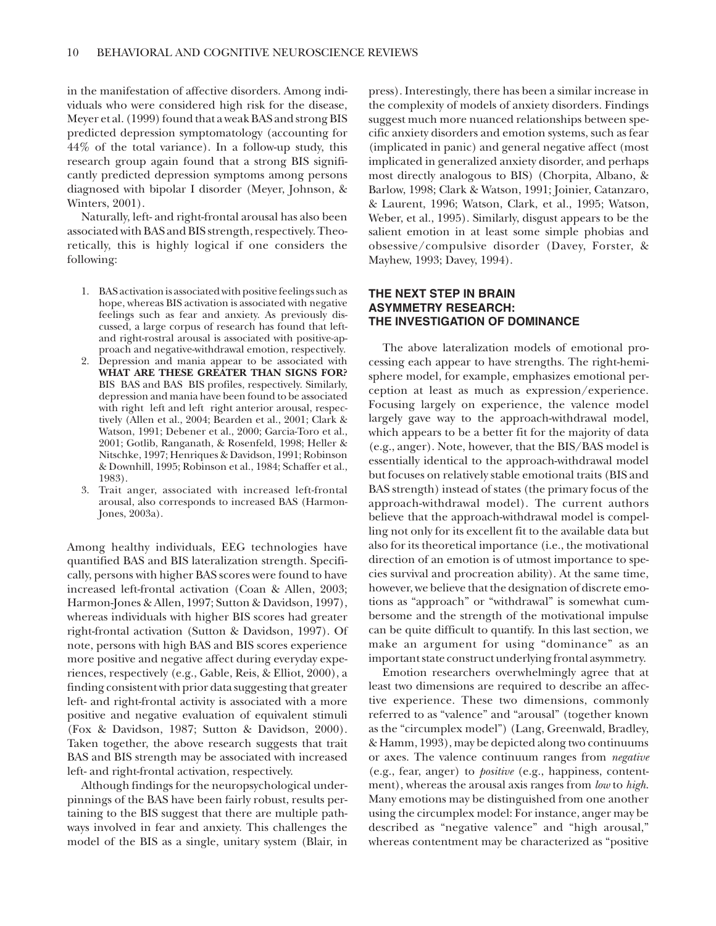in the manifestation of affective disorders. Among individuals who were considered high risk for the disease, Meyer et al. (1999) found that a weak BAS and strong BIS predicted depression symptomatology (accounting for 44% of the total variance). In a follow-up study, this research group again found that a strong BIS significantly predicted depression symptoms among persons diagnosed with bipolar I disorder (Meyer, Johnson, & Winters, 2001).

Naturally, left- and right-frontal arousal has also been associated with BAS and BIS strength, respectively. Theoretically, this is highly logical if one considers the following:

- 1. BAS activation is associated with positive feelings such as hope, whereas BIS activation is associated with negative feelings such as fear and anxiety. As previously discussed, a large corpus of research has found that leftand right-rostral arousal is associated with positive-approach and negative-withdrawal emotion, respectively.
- 2. Depression and mania appear to be associated with **WHAT ARE THESE GREATER THAN SIGNS FOR?** BIS BAS and BAS BIS profiles, respectively. Similarly, depression and mania have been found to be associated with right left and left right anterior arousal, respectively (Allen et al., 2004; Bearden et al., 2001; Clark & Watson, 1991; Debener et al., 2000; Garcia-Toro et al., 2001; Gotlib, Ranganath, & Rosenfeld, 1998; Heller & Nitschke, 1997; Henriques & Davidson, 1991; Robinson & Downhill, 1995; Robinson et al., 1984; Schaffer et al., 1983).
- 3. Trait anger, associated with increased left-frontal arousal, also corresponds to increased BAS (Harmon-Jones, 2003a).

Among healthy individuals, EEG technologies have quantified BAS and BIS lateralization strength. Specifically, persons with higher BAS scores were found to have increased left-frontal activation (Coan & Allen, 2003; Harmon-Jones & Allen, 1997; Sutton & Davidson, 1997), whereas individuals with higher BIS scores had greater right-frontal activation (Sutton & Davidson, 1997). Of note, persons with high BAS and BIS scores experience more positive and negative affect during everyday experiences, respectively (e.g., Gable, Reis, & Elliot, 2000), a finding consistent with prior data suggesting that greater left- and right-frontal activity is associated with a more positive and negative evaluation of equivalent stimuli (Fox & Davidson, 1987; Sutton & Davidson, 2000). Taken together, the above research suggests that trait BAS and BIS strength may be associated with increased left- and right-frontal activation, respectively.

Although findings for the neuropsychological underpinnings of the BAS have been fairly robust, results pertaining to the BIS suggest that there are multiple pathways involved in fear and anxiety. This challenges the model of the BIS as a single, unitary system (Blair, in

press). Interestingly, there has been a similar increase in the complexity of models of anxiety disorders. Findings suggest much more nuanced relationships between specific anxiety disorders and emotion systems, such as fear (implicated in panic) and general negative affect (most implicated in generalized anxiety disorder, and perhaps most directly analogous to BIS) (Chorpita, Albano, & Barlow, 1998; Clark & Watson, 1991; Joinier, Catanzaro, & Laurent, 1996; Watson, Clark, et al., 1995; Watson, Weber, et al., 1995). Similarly, disgust appears to be the salient emotion in at least some simple phobias and obsessive/compulsive disorder (Davey, Forster, & Mayhew, 1993; Davey, 1994).

## **THE NEXT STEP IN BRAIN ASYMMETRY RESEARCH: THE INVESTIGATION OF DOMINANCE**

The above lateralization models of emotional processing each appear to have strengths. The right-hemisphere model, for example, emphasizes emotional perception at least as much as expression/experience. Focusing largely on experience, the valence model largely gave way to the approach-withdrawal model, which appears to be a better fit for the majority of data (e.g., anger). Note, however, that the BIS/BAS model is essentially identical to the approach-withdrawal model but focuses on relatively stable emotional traits (BIS and BAS strength) instead of states (the primary focus of the approach-withdrawal model). The current authors believe that the approach-withdrawal model is compelling not only for its excellent fit to the available data but also for its theoretical importance (i.e., the motivational direction of an emotion is of utmost importance to species survival and procreation ability). At the same time, however, we believe that the designation of discrete emotions as "approach" or "withdrawal" is somewhat cumbersome and the strength of the motivational impulse can be quite difficult to quantify. In this last section, we make an argument for using "dominance" as an important state construct underlying frontal asymmetry.

Emotion researchers overwhelmingly agree that at least two dimensions are required to describe an affective experience. These two dimensions, commonly referred to as "valence" and "arousal" (together known as the "circumplex model") (Lang, Greenwald, Bradley, & Hamm, 1993), may be depicted along two continuums or axes. The valence continuum ranges from *negative* (e.g., fear, anger) to *positive* (e.g., happiness, contentment), whereas the arousal axis ranges from *low* to *high*. Many emotions may be distinguished from one another using the circumplex model: For instance, anger may be described as "negative valence" and "high arousal," whereas contentment may be characterized as "positive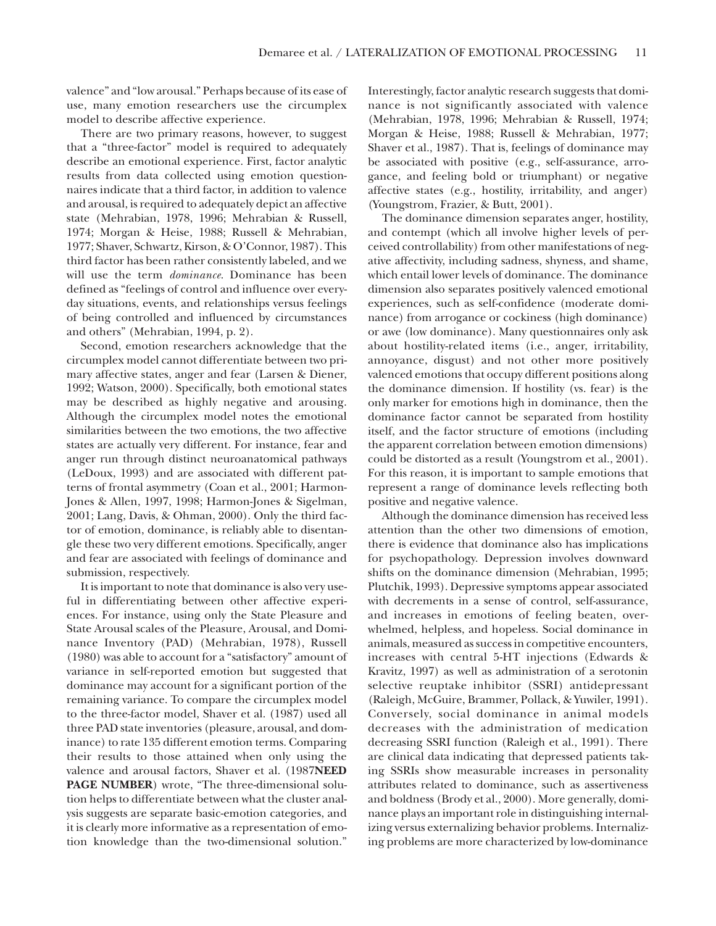valence" and "low arousal." Perhaps because of its ease of use, many emotion researchers use the circumplex model to describe affective experience.

There are two primary reasons, however, to suggest that a "three-factor" model is required to adequately describe an emotional experience. First, factor analytic results from data collected using emotion questionnaires indicate that a third factor, in addition to valence and arousal, is required to adequately depict an affective state (Mehrabian, 1978, 1996; Mehrabian & Russell, 1974; Morgan & Heise, 1988; Russell & Mehrabian, 1977; Shaver, Schwartz, Kirson, & O'Connor, 1987). This third factor has been rather consistently labeled, and we will use the term *dominance*. Dominance has been defined as "feelings of control and influence over everyday situations, events, and relationships versus feelings of being controlled and influenced by circumstances and others" (Mehrabian, 1994, p. 2).

Second, emotion researchers acknowledge that the circumplex model cannot differentiate between two primary affective states, anger and fear (Larsen & Diener, 1992; Watson, 2000). Specifically, both emotional states may be described as highly negative and arousing. Although the circumplex model notes the emotional similarities between the two emotions, the two affective states are actually very different. For instance, fear and anger run through distinct neuroanatomical pathways (LeDoux, 1993) and are associated with different patterns of frontal asymmetry (Coan et al., 2001; Harmon-Jones & Allen, 1997, 1998; Harmon-Jones & Sigelman, 2001; Lang, Davis, & Ohman, 2000). Only the third factor of emotion, dominance, is reliably able to disentangle these two very different emotions. Specifically, anger and fear are associated with feelings of dominance and submission, respectively.

It is important to note that dominance is also very useful in differentiating between other affective experiences. For instance, using only the State Pleasure and State Arousal scales of the Pleasure, Arousal, and Dominance Inventory (PAD) (Mehrabian, 1978), Russell (1980) was able to account for a "satisfactory" amount of variance in self-reported emotion but suggested that dominance may account for a significant portion of the remaining variance. To compare the circumplex model to the three-factor model, Shaver et al. (1987) used all three PAD state inventories (pleasure, arousal, and dominance) to rate 135 different emotion terms. Comparing their results to those attained when only using the valence and arousal factors, Shaver et al. (1987**NEED PAGE NUMBER**) wrote, "The three-dimensional solution helps to differentiate between what the cluster analysis suggests are separate basic-emotion categories, and it is clearly more informative as a representation of emotion knowledge than the two-dimensional solution." Interestingly, factor analytic research suggests that dominance is not significantly associated with valence (Mehrabian, 1978, 1996; Mehrabian & Russell, 1974; Morgan & Heise, 1988; Russell & Mehrabian, 1977; Shaver et al., 1987). That is, feelings of dominance may be associated with positive (e.g., self-assurance, arrogance, and feeling bold or triumphant) or negative affective states (e.g., hostility, irritability, and anger) (Youngstrom, Frazier, & Butt, 2001).

The dominance dimension separates anger, hostility, and contempt (which all involve higher levels of perceived controllability) from other manifestations of negative affectivity, including sadness, shyness, and shame, which entail lower levels of dominance. The dominance dimension also separates positively valenced emotional experiences, such as self-confidence (moderate dominance) from arrogance or cockiness (high dominance) or awe (low dominance). Many questionnaires only ask about hostility-related items (i.e., anger, irritability, annoyance, disgust) and not other more positively valenced emotions that occupy different positions along the dominance dimension. If hostility (vs. fear) is the only marker for emotions high in dominance, then the dominance factor cannot be separated from hostility itself, and the factor structure of emotions (including the apparent correlation between emotion dimensions) could be distorted as a result (Youngstrom et al., 2001). For this reason, it is important to sample emotions that represent a range of dominance levels reflecting both positive and negative valence.

Although the dominance dimension has received less attention than the other two dimensions of emotion, there is evidence that dominance also has implications for psychopathology. Depression involves downward shifts on the dominance dimension (Mehrabian, 1995; Plutchik, 1993). Depressive symptoms appear associated with decrements in a sense of control, self-assurance, and increases in emotions of feeling beaten, overwhelmed, helpless, and hopeless. Social dominance in animals, measured as success in competitive encounters, increases with central 5-HT injections (Edwards & Kravitz, 1997) as well as administration of a serotonin selective reuptake inhibitor (SSRI) antidepressant (Raleigh, McGuire, Brammer, Pollack, & Yuwiler, 1991). Conversely, social dominance in animal models decreases with the administration of medication decreasing SSRI function (Raleigh et al., 1991). There are clinical data indicating that depressed patients taking SSRIs show measurable increases in personality attributes related to dominance, such as assertiveness and boldness (Brody et al., 2000). More generally, dominance plays an important role in distinguishing internalizing versus externalizing behavior problems. Internalizing problems are more characterized by low-dominance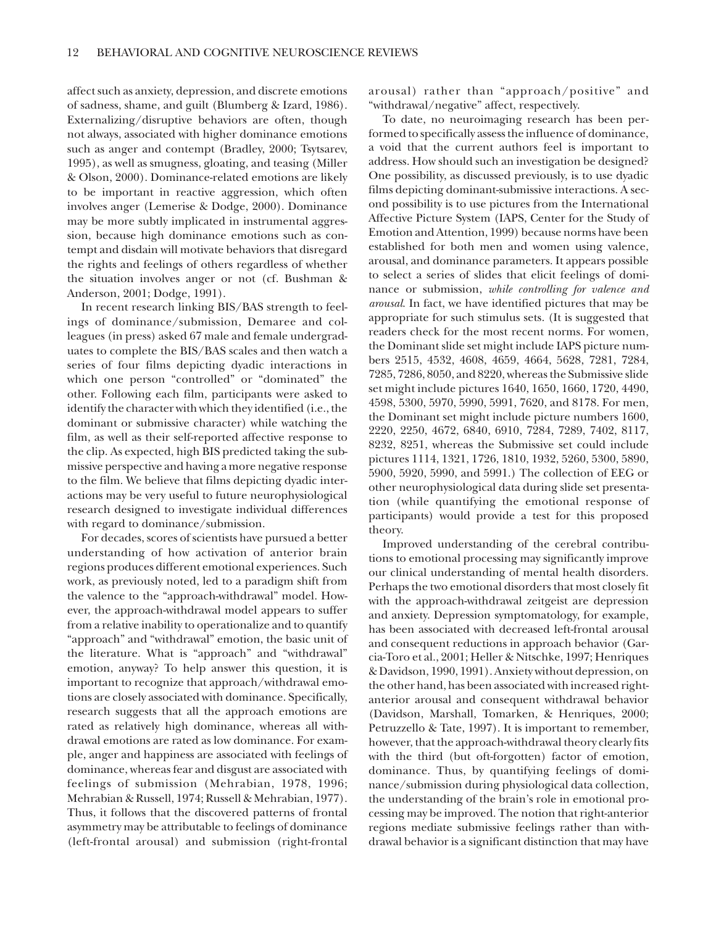affect such as anxiety, depression, and discrete emotions of sadness, shame, and guilt (Blumberg & Izard, 1986). Externalizing/disruptive behaviors are often, though not always, associated with higher dominance emotions such as anger and contempt (Bradley, 2000; Tsytsarev, 1995), as well as smugness, gloating, and teasing (Miller & Olson, 2000). Dominance-related emotions are likely to be important in reactive aggression, which often involves anger (Lemerise & Dodge, 2000). Dominance may be more subtly implicated in instrumental aggression, because high dominance emotions such as contempt and disdain will motivate behaviors that disregard the rights and feelings of others regardless of whether the situation involves anger or not (cf. Bushman & Anderson, 2001; Dodge, 1991).

In recent research linking BIS/BAS strength to feelings of dominance/submission, Demaree and colleagues (in press) asked 67 male and female undergraduates to complete the BIS/BAS scales and then watch a series of four films depicting dyadic interactions in which one person "controlled" or "dominated" the other. Following each film, participants were asked to identify the character with which they identified (i.e., the dominant or submissive character) while watching the film, as well as their self-reported affective response to the clip. As expected, high BIS predicted taking the submissive perspective and having a more negative response to the film. We believe that films depicting dyadic interactions may be very useful to future neurophysiological research designed to investigate individual differences with regard to dominance/submission.

For decades, scores of scientists have pursued a better understanding of how activation of anterior brain regions produces different emotional experiences. Such work, as previously noted, led to a paradigm shift from the valence to the "approach-withdrawal" model. However, the approach-withdrawal model appears to suffer from a relative inability to operationalize and to quantify "approach" and "withdrawal" emotion, the basic unit of the literature. What is "approach" and "withdrawal" emotion, anyway? To help answer this question, it is important to recognize that approach/withdrawal emotions are closely associated with dominance. Specifically, research suggests that all the approach emotions are rated as relatively high dominance, whereas all withdrawal emotions are rated as low dominance. For example, anger and happiness are associated with feelings of dominance, whereas fear and disgust are associated with feelings of submission (Mehrabian, 1978, 1996; Mehrabian & Russell, 1974; Russell & Mehrabian, 1977). Thus, it follows that the discovered patterns of frontal asymmetry may be attributable to feelings of dominance (left-frontal arousal) and submission (right-frontal

arousal) rather than "approach/positive" and "withdrawal/negative" affect, respectively.

To date, no neuroimaging research has been performed to specifically assess the influence of dominance, a void that the current authors feel is important to address. How should such an investigation be designed? One possibility, as discussed previously, is to use dyadic films depicting dominant-submissive interactions. A second possibility is to use pictures from the International Affective Picture System (IAPS, Center for the Study of Emotion and Attention, 1999) because norms have been established for both men and women using valence, arousal, and dominance parameters. It appears possible to select a series of slides that elicit feelings of dominance or submission, *while controlling for valence and arousal*. In fact, we have identified pictures that may be appropriate for such stimulus sets. (It is suggested that readers check for the most recent norms. For women, the Dominant slide set might include IAPS picture numbers 2515, 4532, 4608, 4659, 4664, 5628, 7281, 7284, 7285, 7286, 8050, and 8220, whereas the Submissive slide set might include pictures 1640, 1650, 1660, 1720, 4490, 4598, 5300, 5970, 5990, 5991, 7620, and 8178. For men, the Dominant set might include picture numbers 1600, 2220, 2250, 4672, 6840, 6910, 7284, 7289, 7402, 8117, 8232, 8251, whereas the Submissive set could include pictures 1114, 1321, 1726, 1810, 1932, 5260, 5300, 5890, 5900, 5920, 5990, and 5991.) The collection of EEG or other neurophysiological data during slide set presentation (while quantifying the emotional response of participants) would provide a test for this proposed theory.

Improved understanding of the cerebral contributions to emotional processing may significantly improve our clinical understanding of mental health disorders. Perhaps the two emotional disorders that most closely fit with the approach-withdrawal zeitgeist are depression and anxiety. Depression symptomatology, for example, has been associated with decreased left-frontal arousal and consequent reductions in approach behavior (Garcia-Toro et al., 2001; Heller & Nitschke, 1997; Henriques & Davidson, 1990, 1991). Anxiety without depression, on the other hand, has been associated with increased rightanterior arousal and consequent withdrawal behavior (Davidson, Marshall, Tomarken, & Henriques, 2000; Petruzzello & Tate, 1997). It is important to remember, however, that the approach-withdrawal theory clearly fits with the third (but oft-forgotten) factor of emotion, dominance. Thus, by quantifying feelings of dominance/submission during physiological data collection, the understanding of the brain's role in emotional processing may be improved. The notion that right-anterior regions mediate submissive feelings rather than withdrawal behavior is a significant distinction that may have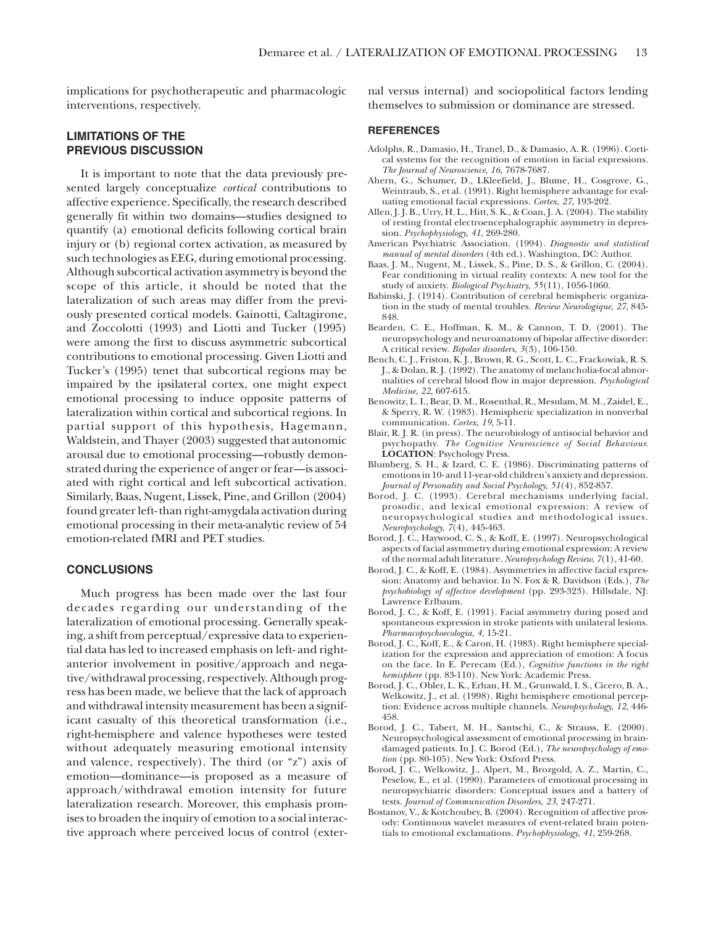implications for psychotherapeutic and pharmacologic interventions, respectively.

## **LIMITATIONS OF THE PREVIOUS DISCUSSION**

It is important to note that the data previously presented largely conceptualize *cortical* contributions to affective experience. Specifically, the research described generally fit within two domains—studies designed to quantify (a) emotional deficits following cortical brain injury or (b) regional cortex activation, as measured by such technologies as EEG, during emotional processing. Although subcortical activation asymmetry is beyond the scope of this article, it should be noted that the lateralization of such areas may differ from the previously presented cortical models. Gainotti, Caltagirone, and Zoccolotti (1993) and Liotti and Tucker (1995) were among the first to discuss asymmetric subcortical contributions to emotional processing. Given Liotti and Tucker's (1995) tenet that subcortical regions may be impaired by the ipsilateral cortex, one might expect emotional processing to induce opposite patterns of lateralization within cortical and subcortical regions. In partial support of this hypothesis, Hagemann, Waldstein, and Thayer (2003) suggested that autonomic arousal due to emotional processing—robustly demonstrated during the experience of anger or fear—is associated with right cortical and left subcortical activation. Similarly, Baas, Nugent, Lissek, Pine, and Grillon (2004) found greater left- than right-amygdala activation during emotional processing in their meta-analytic review of 54 emotion-related fMRI and PET studies.

#### **CONCLUSIONS**

Much progress has been made over the last four decades regarding our understanding of the lateralization of emotional processing. Generally speaking, a shift from perceptual/expressive data to experiential data has led to increased emphasis on left- and rightanterior involvement in positive/approach and negative/withdrawal processing, respectively. Although progress has been made, we believe that the lack of approach and withdrawal intensity measurement has been a significant casualty of this theoretical transformation (i.e., right-hemisphere and valence hypotheses were tested without adequately measuring emotional intensity and valence, respectively). The third (or "z") axis of emotion—dominance—is proposed as a measure of approach/withdrawal emotion intensity for future lateralization research. Moreover, this emphasis promises to broaden the inquiry of emotion to a social interactive approach where perceived locus of control (external versus internal) and sociopolitical factors lending themselves to submission or dominance are stressed.

#### **REFERENCES**

- Adolphs, R., Damasio, H., Tranel, D., & Damasio, A. R. (1996). Cortical systems for the recognition of emotion in facial expressions. *The Journal of Neuroscience*, *16*, 7678-7687.
- Ahern, G., Schumer, D., LKleefield, J., Blume, H., Cosgrove, G., Weintraub, S., et al. (1991). Right hemisphere advantage for evaluating emotional facial expressions. *Cortex*, *27*, 193-202.
- Allen, J. J. B., Urry, H. L., Hitt, S. K., & Coan, J. A. (2004). The stability of resting frontal electroencephalographic asymmetry in depression. *Psychophysiology*, *41*, 269-280.
- American Psychiatric Association. (1994). *Diagnostic and statistical manual of mental disorders* (4th ed.). Washington, DC: Author.
- Baas, J. M., Nugent, M., Lissek, S., Pine, D. S., & Grillon, C. (2004). Fear conditioning in virtual reality contexts: A new tool for the study of anxiety. *Biological Psychiatry*, *55*(11), 1056-1060.
- Babinski, J. (1914). Contribution of cerebral hemispheric organization in the study of mental troubles. *Review Neurologique*, *27*, 845- 848.
- Bearden, C. E., Hoffman, K. M., & Cannon, T. D. (2001). The neuropsychology and neuroanatomy of bipolar affective disorder: A critical review. *Bipolar disorders*, *3*(3), 106-150.
- Bench, C. J., Friston, K. J., Brown, R. G., Scott, L. C., Frackowiak, R. S. J., & Dolan, R. J. (1992). The anatomy of melancholia-focal abnormalities of cerebral blood flow in major depression. *Psychological Medicine*, *22*, 607-615.
- Benowitz, L. I., Bear, D. M., Rosenthal, R., Mesulam, M. M., Zaidel, E., & Sperry, R. W. (1983). Hemispheric specialization in nonverbal communication. *Cortex*, *19*, 5-11.
- Blair, R. J. R. (in press). The neurobiology of antisocial behavior and psychopathy. *The Cognitive Neuroscience of Social Behaviour*. **LOCATION**: Psychology Press.
- Blumberg, S. H., & Izard, C. E. (1986). Discriminating patterns of emotions in 10- and 11-year-old children's anxiety and depression. *Journal of Personality and Social Psychology*, *51*(4), 852-857.
- Borod, J. C. (1993). Cerebral mechanisms underlying facial, prosodic, and lexical emotional expression: A review of neuropsychological studies and methodological issues. *Neuropsychology*, *7*(4), 445-463.
- Borod, J. C., Haywood, C. S., & Koff, E. (1997). Neuropsychological aspects of facial asymmetry during emotional expression: A review of the normal adult literature. *Neuropsychology Review*, *7*(1), 41-60.
- Borod, J. C., & Koff, E. (1984). Asymmetries in affective facial expression: Anatomy and behavior. In N. Fox & R. Davidson (Eds.), *The psychobiology of affective development* (pp. 293-323). Hillsdale, NJ: Lawrence Erlbaum.
- Borod, J. C., & Koff, E. (1991). Facial asymmetry during posed and spontaneous expression in stroke patients with unilateral lesions. *Pharmacopsychoecologia*, *4*, 15-21.
- Borod, J. C., Koff, E., & Caron, H. (1983). Right hemisphere specialization for the expression and appreciation of emotion: A focus on the face. In E. Perecam (Ed.), *Cognitive functions in the right hemisphere* (pp. 83-110). New York: Academic Press.
- Borod, J. C., Obler, L. K., Erhan, H. M., Grunwald, I. S., Cicero, B. A., Welkowitz, J., et al. (1998). Right hemisphere emotional perception: Evidence across multiple channels. *Neuropsychology*, *12*, 446- 458.
- Borod, J. C., Tabert, M. H., Santschi, C., & Strauss, E. (2000). Neuropsychological assessment of emotional processing in braindamaged patients. In J. C. Borod (Ed.), *The neuropsychology of emotion* (pp. 80-105). New York: Oxford Press.
- Borod, J. C., Welkowitz, J., Alpert, M., Brozgold, A. Z., Martin, C., Peselow, E., et al. (1990). Parameters of emotional processing in neuropsychiatric disorders: Conceptual issues and a battery of tests. *Journal of Communication Disorders*, *23*, 247-271.
- Bostanov, V., & Kotchoubey, B. (2004). Recognition of affective prosody: Continuous wavelet measures of event-related brain potentials to emotional exclamations. *Psychophysiology*, *41*, 259-268.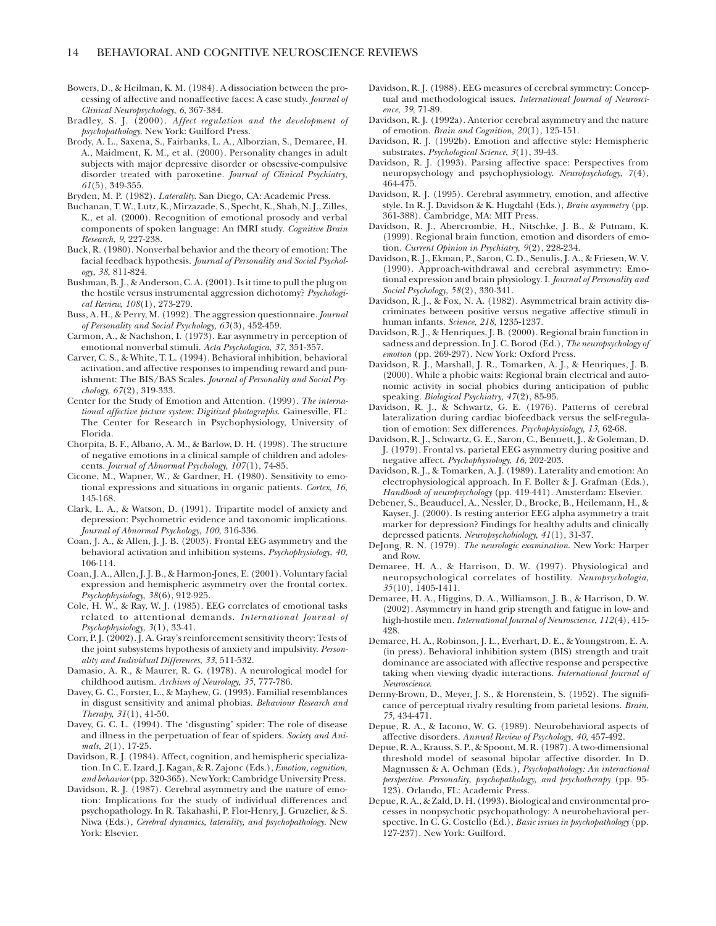- Bowers, D., & Heilman, K. M. (1984). A dissociation between the processing of affective and nonaffective faces: A case study. *Journal of Clinical Neuropsychology*, *6*, 367-384.
- Bradley, S. J. (2000). *Affect regulation and the development of psychopathology*. New York: Guilford Press.
- Brody, A. L., Saxena, S., Fairbanks, L. A., Alborzian, S., Demaree, H. A., Maidment, K. M., et al. (2000). Personality changes in adult subjects with major depressive disorder or obsessive-compulsive disorder treated with paroxetine. *Journal of Clinical Psychiatry*, *61*(5), 349-355.
- Bryden, M. P. (1982). *Laterality*. San Diego, CA: Academic Press.
- Buchanan, T. W., Lutz, K., Mirzazade, S., Specht, K., Shah, N. J., Zilles, K., et al. (2000). Recognition of emotional prosody and verbal components of spoken language: An fMRI study. *Cognitive Brain Research*, *9*, 227-238.
- Buck, R. (1980). Nonverbal behavior and the theory of emotion: The facial feedback hypothesis. *Journal of Personality and Social Psychology*, *38*, 811-824.
- Bushman, B. J., & Anderson, C. A. (2001). Is it time to pull the plug on the hostile versus instrumental aggression dichotomy? *Psychological Review*, *108*(1), 273-279.
- Buss, A. H., & Perry, M. (1992). The aggression questionnaire. *Journal of Personality and Social Psychology*, *63*(3), 452-459.
- Carmon, A., & Nachshon, I. (1973). Ear asymmetry in perception of emotional nonverbal stimuli. *Acta Psychologica*, *37*, 351-357.
- Carver, C. S., & White, T. L. (1994). Behavioral inhibition, behavioral activation, and affective responses to impending reward and punishment: The BIS/BAS Scales. *Journal of Personality and Social Psychology*, *67*(2), 319-333.
- Center for the Study of Emotion and Attention. (1999). *The international affective picture system: Digitized photographs*. Gainesville, FL: The Center for Research in Psychophysiology, University of Florida.
- Chorpita, B. F., Albano, A. M., & Barlow, D. H. (1998). The structure of negative emotions in a clinical sample of children and adolescents. *Journal of Abnormal Psychology*, *107*(1), 74-85.
- Cicone, M., Wapner, W., & Gardner, H. (1980). Sensitivity to emotional expressions and situations in organic patients. *Cortex*, *16*, 145-168.
- Clark, L. A., & Watson, D. (1991). Tripartite model of anxiety and depression: Psychometric evidence and taxonomic implications. *Journal of Abnormal Psychology*, *100*, 316-336.
- Coan, J. A., & Allen, J. J. B. (2003). Frontal EEG asymmetry and the behavioral activation and inhibition systems. *Psychophysiology*, *40*, 106-114.
- Coan, J. A., Allen, J. J. B., & Harmon-Jones, E. (2001). Voluntary facial expression and hemispheric asymmetry over the frontal cortex. *Psychophysiology*, *38*(6), 912-925.
- Cole, H. W., & Ray, W. J. (1985). EEG correlates of emotional tasks related to attentional demands. *International Journal of Psychophysiology*, *3*(1), 33-41.
- Corr, P. J. (2002). J. A. Gray's reinforcement sensitivity theory: Tests of the joint subsystems hypothesis of anxiety and impulsivity. *Personality and Individual Differences*, *33*, 511-532.
- Damasio, A. R., & Maurer, R. G. (1978). A neurological model for childhood autism. *Archives of Neurology*, *35*, 777-786.
- Davey, G. C., Forster, L., & Mayhew, G. (1993). Familial resemblances in disgust sensitivity and animal phobias. *Behaviour Research and Therapy*, *31*(1), 41-50.
- Davey, G. C. L. (1994). The 'disgusting' spider: The role of disease and illness in the perpetuation of fear of spiders. *Society and Animals*, *2*(1), 17-25.
- Davidson, R. J. (1984). Affect, cognition, and hemispheric specialization. In C. E. Izard, J. Kagan, & R. Zajonc (Eds.), *Emotion, cognition, and behavior* (pp. 320-365). New York: Cambridge University Press.
- Davidson, R. J. (1987). Cerebral asymmetry and the nature of emotion: Implications for the study of individual differences and psychopathology. In R. Takahashi, P. Flor-Henry, J. Gruzelier, & S. Niwa (Eds.), *Cerebral dynamics, laterality, and psychopathology*. New York: Elsevier.
- Davidson, R. J. (1988). EEG measures of cerebral symmetry: Conceptual and methodological issues. *International Journal of Neuroscience*, *39*, 71-89.
- Davidson, R. J. (1992a). Anterior cerebral asymmetry and the nature of emotion. *Brain and Cognition*, *20*(1), 125-151.
- Davidson, R. J. (1992b). Emotion and affective style: Hemispheric substrates. *Psychological Science*, *3*(1), 39-43.
- Davidson, R. J. (1993). Parsing affective space: Perspectives from neuropsychology and psychophysiology. *Neuropsychology*, *7*(4), 464-475.
- Davidson, R. J. (1995). Cerebral asymmetry, emotion, and affective style. In R. J. Davidson & K. Hugdahl (Eds.), *Brain asymmetry* (pp. 361-388). Cambridge, MA: MIT Press.
- Davidson, R. J., Abercrombie, H., Nitschke, J. B., & Putnam, K. (1999). Regional brain function, emotion and disorders of emotion. *Current Opinion in Psychiatry*, *9*(2), 228-234.
- Davidson, R. J., Ekman, P., Saron, C. D., Senulis, J. A., & Friesen, W. V. (1990). Approach-withdrawal and cerebral asymmetry: Emotional expression and brain physiology. I. *Journal of Personality and Social Psychology*, *58*(2), 330-341.
- Davidson, R. J., & Fox, N. A. (1982). Asymmetrical brain activity discriminates between positive versus negative affective stimuli in human infants. *Science*, *218*, 1235-1237.
- Davidson, R. J., & Henriques, J. B. (2000). Regional brain function in sadness and depression. In J. C. Borod (Ed.), *The neuropsychology of emotion* (pp. 269-297). New York: Oxford Press.
- Davidson, R. J., Marshall, J. R., Tomarken, A. J., & Henriques, J. B. (2000). While a phobic waits: Regional brain electrical and autonomic activity in social phobics during anticipation of public speaking. *Biological Psychiatry*, *47*(2), 85-95.
- Davidson, R. J., & Schwartz, G. E. (1976). Patterns of cerebral lateralization during cardiac biofeedback versus the self-regulation of emotion: Sex differences. *Psychophysiology*, *13*, 62-68.
- Davidson, R. J., Schwartz, G. E., Saron, C., Bennett, J., & Goleman, D. J. (1979). Frontal vs. parietal EEG asymmetry during positive and negative affect. *Psychophysiology*, *16*, 202-203.
- Davidson, R. J., & Tomarken, A. J. (1989). Laterality and emotion: An electrophysiological approach. In F. Boller & J. Grafman (Eds.), *Handbook of neuropsychology* (pp. 419-441). Amsterdam: Elsevier.
- Debener, S., Beauducel, A., Nessler, D., Brocke, B., Heilemann, H., & Kayser, J. (2000). Is resting anterior EEG alpha asymmetry a trait marker for depression? Findings for healthy adults and clinically depressed patients. *Neuropsychobiology*, *41*(1), 31-37.
- DeJong, R. N. (1979). *The neurologic examination*. New York: Harper and Row.
- Demaree, H. A., & Harrison, D. W. (1997). Physiological and neuropsychological correlates of hostility. *Neuropsychologia*, *35*(10), 1405-1411.
- Demaree, H. A., Higgins, D. A., Williamson, J. B., & Harrison, D. W. (2002). Asymmetry in hand grip strength and fatigue in low- and high-hostile men. *International Journal of Neuroscience*, *112*(4), 415- 428.
- Demaree, H. A., Robinson, J. L., Everhart, D. E., & Youngstrom, E. A. (in press). Behavioral inhibition system (BIS) strength and trait dominance are associated with affective response and perspective taking when viewing dyadic interactions. *International Journal of Neuroscience*.
- Denny-Brown, D., Meyer, J. S., & Horenstein, S. (1952). The significance of perceptual rivalry resulting from parietal lesions. *Brain*, *75*, 434-471.
- Depue, R. A., & Iacono, W. G. (1989). Neurobehavioral aspects of affective disorders. *Annual Review of Psychology*, *40*, 457-492.
- Depue, R. A., Krauss, S. P., & Spoont, M. R. (1987). A two-dimensional threshold model of seasonal bipolar affective disorder. In D. Magnussen & A. Oehman (Eds.), *Psychopathology: An interactional perspective. Personality, psychopathology, and psychotherapy* (pp. 95- 123). Orlando, FL: Academic Press.
- Depue, R. A., & Zald, D. H. (1993). Biological and environmental processes in nonpsychotic psychopathology: A neurobehavioral perspective. In C. G. Costello (Ed.), *Basic issues in psychopathology* (pp. 127-237). New York: Guilford.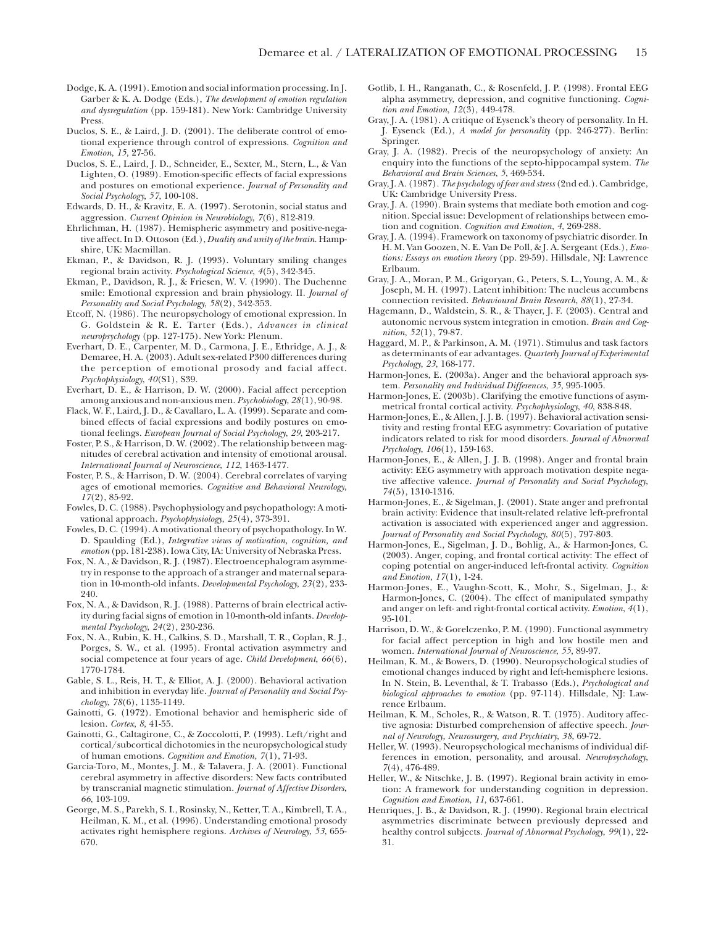- Dodge, K. A. (1991). Emotion and social information processing. In J. Garber & K. A. Dodge (Eds.), *The development of emotion regulation and dysregulation* (pp. 159-181). New York: Cambridge University Press.
- Duclos, S. E., & Laird, J. D. (2001). The deliberate control of emotional experience through control of expressions. *Cognition and Emotion*, *15*, 27-56.
- Duclos, S. E., Laird, J. D., Schneider, E., Sexter, M., Stern, L., & Van Lighten, O. (1989). Emotion-specific effects of facial expressions and postures on emotional experience. *Journal of Personality and Social Psychology*, *57*, 100-108.
- Edwards, D. H., & Kravitz, E. A. (1997). Serotonin, social status and aggression. *Current Opinion in Neurobiology*, *7*(6), 812-819.
- Ehrlichman, H. (1987). Hemispheric asymmetry and positive-negative affect. In D. Ottoson (Ed.), *Duality and unity of the brain*. Hampshire, UK: Macmillan.
- Ekman, P., & Davidson, R. J. (1993). Voluntary smiling changes regional brain activity. *Psychological Science*, *4*(5), 342-345.
- Ekman, P., Davidson, R. J., & Friesen, W. V. (1990). The Duchenne smile: Emotional expression and brain physiology. II. *Journal of Personality and Social Psychology*, *58*(2), 342-353.
- Etcoff, N. (1986). The neuropsychology of emotional expression. In G. Goldstein & R. E. Tarter (Eds.), *Advances in clinical neuropsychology* (pp. 127-175). New York: Plenum.
- Everhart, D. E., Carpenter, M. D., Carmona, J. E., Ethridge, A. J., & Demaree, H. A. (2003). Adult sex-related P300 differences during the perception of emotional prosody and facial affect. *Psychophysiology*, *40*(S1), S39.
- Everhart, D. E., & Harrison, D. W. (2000). Facial affect perception among anxious and non-anxious men. *Psychobiology*, *28*(1), 90-98.
- Flack, W. F., Laird, J. D., & Cavallaro, L. A. (1999). Separate and combined effects of facial expressions and bodily postures on emotional feelings. *European Journal of Social Psychology*, *29*, 203-217.
- Foster, P. S., & Harrison, D. W. (2002). The relationship between magnitudes of cerebral activation and intensity of emotional arousal. *International Journal of Neuroscience*, *112*, 1463-1477.
- Foster, P. S., & Harrison, D. W. (2004). Cerebral correlates of varying ages of emotional memories. *Cognitive and Behavioral Neurology*, *17*(2), 85-92.
- Fowles, D. C. (1988). Psychophysiology and psychopathology: A motivational approach. *Psychophysiology*, *25*(4), 373-391.
- Fowles, D. C. (1994). A motivational theory of psychopathology. In W. D. Spaulding (Ed.), *Integrative views of motivation, cognition, and emotion* (pp. 181-238). Iowa City, IA: University of Nebraska Press.
- Fox, N. A., & Davidson, R. J. (1987). Electroencephalogram asymmetry in response to the approach of a stranger and maternal separation in 10-month-old infants. *Developmental Psychology*, *23*(2), 233- 240.
- Fox, N. A., & Davidson, R. J. (1988). Patterns of brain electrical activity during facial signs of emotion in 10-month-old infants. *Developmental Psychology*, *24*(2), 230-236.
- Fox, N. A., Rubin, K. H., Calkins, S. D., Marshall, T. R., Coplan, R. J., Porges, S. W., et al. (1995). Frontal activation asymmetry and social competence at four years of age. *Child Development*, *66*(6), 1770-1784.
- Gable, S. L., Reis, H. T., & Elliot, A. J. (2000). Behavioral activation and inhibition in everyday life. *Journal of Personality and Social Psychology*, *78*(6), 1135-1149.
- Gainotti, G. (1972). Emotional behavior and hemispheric side of lesion. *Cortex*, *8*, 41-55.
- Gainotti, G., Caltagirone, C., & Zoccolotti, P. (1993). Left/right and cortical/subcortical dichotomies in the neuropsychological study of human emotions. *Cognition and Emotion*, *7*(1), 71-93.
- Garcia-Toro, M., Montes, J. M., & Talavera, J. A. (2001). Functional cerebral asymmetry in affective disorders: New facts contributed by transcranial magnetic stimulation. *Journal of Affective Disorders*, *66*, 103-109.
- George, M. S., Parekh, S. I., Rosinsky, N., Ketter, T. A., Kimbrell, T. A., Heilman, K. M., et al. (1996). Understanding emotional prosody activates right hemisphere regions. *Archives of Neurology*, *53*, 655- 670.
- Gotlib, I. H., Ranganath, C., & Rosenfeld, J. P. (1998). Frontal EEG alpha asymmetry, depression, and cognitive functioning. *Cognition and Emotion*, *12*(3), 449-478.
- Gray, J. A. (1981). A critique of Eysenck's theory of personality. In H. J. Eysenck (Ed.), *A model for personality* (pp. 246-277). Berlin: Springer.
- Gray, J. A. (1982). Precis of the neuropsychology of anxiety: An enquiry into the functions of the septo-hippocampal system. *The Behavioral and Brain Sciences*, *5*, 469-534.
- Gray, J. A. (1987). *The psychology of fear and stress* (2nd ed.). Cambridge, UK: Cambridge University Press.
- Gray, J. A. (1990). Brain systems that mediate both emotion and cognition. Special issue: Development of relationships between emotion and cognition. *Cognition and Emotion*, *4*, 269-288.
- Gray, J. A. (1994). Framework on taxonomy of psychiatric disorder. In H. M. Van Goozen, N. E. Van De Poll, & J. A. Sergeant (Eds.), *Emotions: Essays on emotion theory* (pp. 29-59). Hillsdale, NJ: Lawrence Erlbaum.
- Gray, J. A., Moran, P. M., Grigoryan, G., Peters, S. L., Young, A. M., & Joseph, M. H. (1997). Latent inhibition: The nucleus accumbens connection revisited. *Behavioural Brain Research*, *88*(1), 27-34.
- Hagemann, D., Waldstein, S. R., & Thayer, J. F. (2003). Central and autonomic nervous system integration in emotion. *Brain and Cognition*, *52*(1), 79-87.
- Haggard, M. P., & Parkinson, A. M. (1971). Stimulus and task factors as determinants of ear advantages. *Quarterly Journal of Experimental Psychology*, *23*, 168-177.
- Harmon-Jones, E. (2003a). Anger and the behavioral approach system. *Personality and Individual Differences*, *35*, 995-1005.
- Harmon-Jones, E. (2003b). Clarifying the emotive functions of asymmetrical frontal cortical activity. *Psychophysiology*, *40*, 838-848.
- Harmon-Jones, E., & Allen, J. J. B. (1997). Behavioral activation sensitivity and resting frontal EEG asymmetry: Covariation of putative indicators related to risk for mood disorders. *Journal of Abnormal Psychology*, *106*(1), 159-163.
- Harmon-Jones, E., & Allen, J. J. B. (1998). Anger and frontal brain activity: EEG asymmetry with approach motivation despite negative affective valence. *Journal of Personality and Social Psychology*, *74*(5), 1310-1316.
- Harmon-Jones, E., & Sigelman, J. (2001). State anger and prefrontal brain activity: Evidence that insult-related relative left-prefrontal activation is associated with experienced anger and aggression. *Journal of Personality and Social Psychology*, *80*(5), 797-803.
- Harmon-Jones, E., Sigelman, J. D., Bohlig, A., & Harmon-Jones, C. (2003). Anger, coping, and frontal cortical activity: The effect of coping potential on anger-induced left-frontal activity. *Cognition and Emotion*, *17*(1), 1-24.
- Harmon-Jones, E., Vaughn-Scott, K., Mohr, S., Sigelman, J., & Harmon-Jones, C. (2004). The effect of manipulated sympathy and anger on left- and right-frontal cortical activity. *Emotion*, *4*(1), 95-101.
- Harrison, D. W., & Gorelczenko, P. M. (1990). Functional asymmetry for facial affect perception in high and low hostile men and women. *International Journal of Neuroscience*, *55*, 89-97.
- Heilman, K. M., & Bowers, D. (1990). Neuropsychological studies of emotional changes induced by right and left-hemisphere lesions. In N. Stein, B. Leventhal, & T. Trabasso (Eds.), *Psychological and biological approaches to emotion* (pp. 97-114). Hillsdale, NJ: Lawrence Erlbaum.
- Heilman, K. M., Scholes, R., & Watson, R. T. (1975). Auditory affective agnosia: Disturbed comprehension of affective speech. *Journal of Neurology, Neurosurgery, and Psychiatry*, *38*, 69-72.
- Heller, W. (1993). Neuropsychological mechanisms of individual differences in emotion, personality, and arousal. *Neuropsychology*, *7*(4), 476-489.
- Heller, W., & Nitschke, J. B. (1997). Regional brain activity in emotion: A framework for understanding cognition in depression. *Cognition and Emotion*, *11*, 637-661.
- Henriques, J. B., & Davidson, R. J. (1990). Regional brain electrical asymmetries discriminate between previously depressed and healthy control subjects. *Journal of Abnormal Psychology*, *99*(1), 22- 31.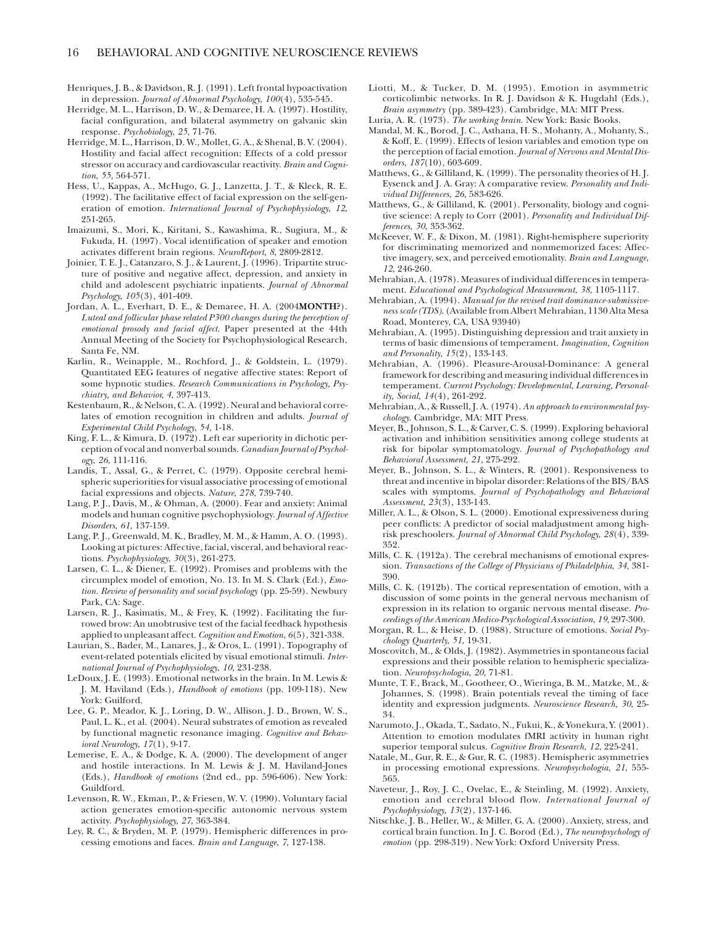- Henriques, J. B., & Davidson, R. J. (1991). Left frontal hypoactivation in depression. *Journal of Abnormal Psychology*, *100*(4), 535-545.
- Herridge, M. L., Harrison, D. W., & Demaree, H. A. (1997). Hostility, facial configuration, and bilateral asymmetry on galvanic skin response. *Psychobiology*, *25*, 71-76.
- Herridge, M. L., Harrison, D. W., Mollet, G. A., & Shenal, B. V. (2004). Hostility and facial affect recognition: Effects of a cold pressor stressor on accuracy and cardiovascular reactivity. *Brain and Cognition*, *55*, 564-571.
- Hess, U., Kappas, A., McHugo, G. J., Lanzetta, J. T., & Kleck, R. E. (1992). The facilitative effect of facial expression on the self-generation of emotion. *International Journal of Psychophysiology*, *12*, 251-265.
- Imaizumi, S., Mori, K., Kiritani, S., Kawashima, R., Sugiura, M., & Fukuda, H. (1997). Vocal identification of speaker and emotion activates different brain regions. *NeuroReport*, *8*, 2809-2812.
- Joinier, T. E. J., Catanzaro, S. J., & Laurent, J. (1996). Tripartite structure of positive and negative affect, depression, and anxiety in child and adolescent psychiatric inpatients. *Journal of Abnormal Psychology*, *105*(3), 401-409.
- Jordan, A. L., Everhart, D. E., & Demaree, H. A. (2004**MONTH?**). *Luteal and follicular phase related P300 changes during the perception of emotional prosody and facial affect*. Paper presented at the 44th Annual Meeting of the Society for Psychophysiological Research, Santa Fe, NM.
- Karlin, R., Weinapple, M., Rochford, J., & Goldstein, L. (1979). Quantitated EEG features of negative affective states: Report of some hypnotic studies. *Research Communications in Psychology, Psychiatry, and Behavior*, *4*, 397-413.
- Kestenbaum, R., & Nelson, C. A. (1992). Neural and behavioral correlates of emotion recognition in children and adults. *Journal of Experimental Child Psychology*, *54*, 1-18.
- King, F. L., & Kimura, D. (1972). Left ear superiority in dichotic perception of vocal and nonverbal sounds. *Canadian Journal of Psychology*, *26*, 111-116.
- Landis, T., Assal, G., & Perret, C. (1979). Opposite cerebral hemispheric superiorities for visual associative processing of emotional facial expressions and objects. *Nature*, *278*, 739-740.
- Lang, P. J., Davis, M., & Ohman, A. (2000). Fear and anxiety: Animal models and human cognitive psychophysiology. *Journal of Affective Disorders*, *61*, 137-159.
- Lang, P. J., Greenwald, M. K., Bradley, M. M., & Hamm, A. O. (1993). Looking at pictures: Affective, facial, visceral, and behavioral reactions. *Psychophysiology*, *30*(3), 261-273.
- Larsen, C. L., & Diener, E. (1992). Promises and problems with the circumplex model of emotion, No. 13. In M. S. Clark (Ed.), *Emotion. Review of personality and social psychology* (pp. 25-59). Newbury Park, CA: Sage.
- Larsen, R. J., Kasimatis, M., & Frey, K. (1992). Facilitating the furrowed brow: An unobtrusive test of the facial feedback hypothesis applied to unpleasant affect. *Cognition and Emotion*, *6*(5), 321-338.
- Laurian, S., Bader, M., Lanares, J., & Oros, L. (1991). Topography of event-related potentials elicited by visual emotional stimuli. *International Journal of Psychophysiology*, *10*, 231-238.
- LeDoux, J. E. (1993). Emotional networks in the brain. In M. Lewis & J. M. Haviland (Eds.), *Handbook of emotions* (pp. 109-118). New York: Guilford.
- Lee, G. P., Meador, K. J., Loring, D. W., Allison, J. D., Brown, W. S., Paul, L. K., et al. (2004). Neural substrates of emotion as revealed by functional magnetic resonance imaging. *Cognitive and Behavioral Neurology*, *17*(1), 9-17.
- Lemerise, E. A., & Dodge, K. A. (2000). The development of anger and hostile interactions. In M. Lewis & J. M. Haviland-Jones (Eds.), *Handbook of emotions* (2nd ed., pp. 596-606). New York: Guildford.
- Levenson, R. W., Ekman, P., & Friesen, W. V. (1990). Voluntary facial action generates emotion-specific autonomic nervous system activity. *Psychophysiology*, *27*, 363-384.
- Ley, R. C., & Bryden, M. P. (1979). Hemispheric differences in processing emotions and faces. *Brain and Language*, *7*, 127-138.
- Liotti, M., & Tucker, D. M. (1995). Emotion in asymmetric corticolimbic networks. In R. J. Davidson & K. Hugdahl (Eds.), *Brain asymmetry* (pp. 389-423). Cambridge, MA: MIT Press.
- Luria, A. R. (1973). *The working brain*. New York: Basic Books.
- Mandal, M. K., Borod, J. C., Asthana, H. S., Mohanty, A., Mohanty, S., & Koff, E. (1999). Effects of lesion variables and emotion type on the perception of facial emotion. *Journal of Nervous and Mental Disorders*, *187*(10), 603-609.
- Matthews, G., & Gilliland, K. (1999). The personality theories of H. J. Eysenck and J. A. Gray: A comparative review. *Personality and Individual Differences*, *26*, 583-626.
- Matthews, G., & Gilliland, K. (2001). Personality, biology and cognitive science: A reply to Corr (2001). *Personality and Individual Differences*, *30*, 353-362.
- McKeever, W. F., & Dixon, M. (1981). Right-hemisphere superiority for discriminating memorized and nonmemorized faces: Affective imagery, sex, and perceived emotionality. *Brain and Language*, *12*, 246-260.
- Mehrabian, A. (1978). Measures of individual differences in temperament. *Educational and Psychological Measurement*, *38*, 1105-1117.
- Mehrabian, A. (1994). *Manual for the revised trait dominance-submissiveness scale (TDS)*. (Available from Albert Mehrabian, 1130 Alta Mesa Road, Monterey, CA, USA 93940)
- Mehrabian, A. (1995). Distinguishing depression and trait anxiety in terms of basic dimensions of temperament. *Imagination, Cognition and Personality*, *15*(2), 133-143.
- Mehrabian, A. (1996). Pleasure-Arousal-Dominance: A general framework for describing and measuring individual differences in temperament. *Current Psychology: Developmental, Learning, Personality, Social*, *14*(4), 261-292.
- Mehrabian, A., & Russell, J. A. (1974). *An approach to environmental psychology*. Cambridge, MA: MIT Press.
- Meyer, B., Johnson, S. L., & Carver, C. S. (1999). Exploring behavioral activation and inhibition sensitivities among college students at risk for bipolar symptomatology. *Journal of Psychopathology and Behavioral Assessment*, *21*, 275-292.
- Meyer, B., Johnson, S. L., & Winters, R. (2001). Responsiveness to threat and incentive in bipolar disorder: Relations of the BIS/BAS scales with symptoms. *Journal of Psychopathology and Behavioral Assessment*, *23*(3), 133-143.
- Miller, A. L., & Olson, S. L. (2000). Emotional expressiveness during peer conflicts: A predictor of social maladjustment among highrisk preschoolers. *Journal of Abnormal Child Psychology*, *28*(4), 339- 352.
- Mills, C. K. (1912a). The cerebral mechanisms of emotional expression. *Transactions of the College of Physicians of Philadelphia*, *34*, 381- 390.
- Mills, C. K. (1912b). The cortical representation of emotion, with a discussion of some points in the general nervous mechanism of expression in its relation to organic nervous mental disease. *Proceedings of the American Medico-Psychological Association*, *19*, 297-300.
- Morgan, R. L., & Heise, D. (1988). Structure of emotions. *Social Psychology Quarterly*, *51*, 19-31.
- Moscovitch, M., & Olds, J. (1982). Asymmetries in spontaneous facial expressions and their possible relation to hemispheric specialization. *Neuropsychologia*, *20*, 71-81.
- Munte, T. F., Brack, M., Gootheer, O., Wieringa, B. M., Matzke, M., & Johannes, S. (1998). Brain potentials reveal the timing of face identity and expression judgments. *Neuroscience Research*, *30*, 25- 34.
- Narumoto, J., Okada, T., Sadato, N., Fukui, K., & Yonekura, Y. (2001). Attention to emotion modulates fMRI activity in human right superior temporal sulcus. *Cognitive Brain Research*, *12*, 225-241.
- Natale, M., Gur, R. E., & Gur, R. C. (1983). Hemispheric asymmetries in processing emotional expressions. *Neuropsychologia*, *21*, 555- 565.
- Naveteur, J., Roy, J. C., Ovelac, E., & Steinling, M. (1992). Anxiety, emotion and cerebral blood flow. *International Journal of Psychophysiology*, *13*(2), 137-146.
- Nitschke, J. B., Heller, W., & Miller, G. A. (2000). Anxiety, stress, and cortical brain function. In J. C. Borod (Ed.), *The neuropsychology of emotion* (pp. 298-319). New York: Oxford University Press.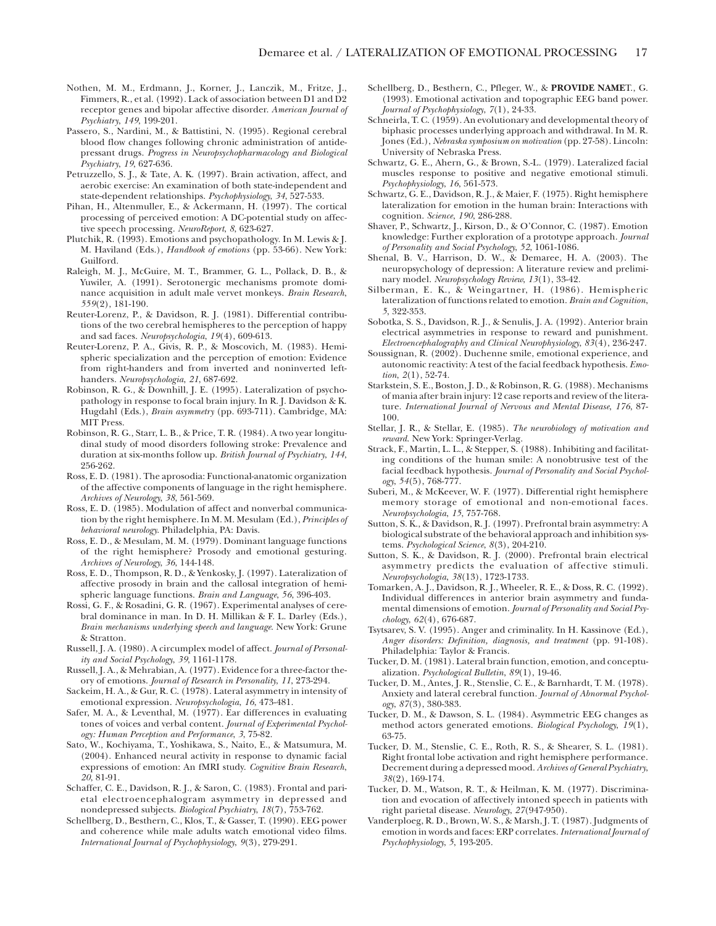- Nothen, M. M., Erdmann, J., Korner, J., Lanczik, M., Fritze, J., Fimmers, R., et al. (1992). Lack of association between D1 and D2 receptor genes and bipolar affective disorder. *American Journal of Psychiatry*, *149*, 199-201.
- Passero, S., Nardini, M., & Battistini, N. (1995). Regional cerebral blood flow changes following chronic administration of antidepressant drugs. *Progress in Neuropsychopharmacology and Biological Psychiatry*, *19*, 627-636.
- Petruzzello, S. J., & Tate, A. K. (1997). Brain activation, affect, and aerobic exercise: An examination of both state-independent and state-dependent relationships. *Psychophysiology*, *34*, 527-533.
- Pihan, H., Altenmuller, E., & Ackermann, H. (1997). The cortical processing of perceived emotion: A DC-potential study on affective speech processing. *NeuroReport*, *8*, 623-627.
- Plutchik, R. (1993). Emotions and psychopathology. In M. Lewis & J. M. Haviland (Eds.), *Handbook of emotions* (pp. 53-66). New York: Guilford.
- Raleigh, M. J., McGuire, M. T., Brammer, G. L., Pollack, D. B., & Yuwiler, A. (1991). Serotonergic mechanisms promote dominance acquisition in adult male vervet monkeys. *Brain Research*, *559*(2), 181-190.
- Reuter-Lorenz, P., & Davidson, R. J. (1981). Differential contributions of the two cerebral hemispheres to the perception of happy and sad faces. *Neuropsychologia*, *19*(4), 609-613.
- Reuter-Lorenz, P. A., Givis, R. P., & Moscovich, M. (1983). Hemispheric specialization and the perception of emotion: Evidence from right-handers and from inverted and noninverted lefthanders. *Neuropsychologia*, *21*, 687-692.
- Robinson, R. G., & Downhill, J. E. (1995). Lateralization of psychopathology in response to focal brain injury. In R. J. Davidson & K. Hugdahl (Eds.), *Brain asymmetry* (pp. 693-711). Cambridge, MA: MIT Press.
- Robinson, R. G., Starr, L. B., & Price, T. R. (1984). A two year longitudinal study of mood disorders following stroke: Prevalence and duration at six-months follow up. *British Journal of Psychiatry*, *144*, 256-262.
- Ross, E. D. (1981). The aprosodia: Functional-anatomic organization of the affective components of language in the right hemisphere. *Archives of Neurology*, *38*, 561-569.
- Ross, E. D. (1985). Modulation of affect and nonverbal communication by the right hemisphere. In M. M. Mesulam (Ed.), *Principles of behavioral neurology*. Philadelphia, PA: Davis.
- Ross, E. D., & Mesulam, M. M. (1979). Dominant language functions of the right hemisphere? Prosody and emotional gesturing. *Archives of Neurology*, *36*, 144-148.
- Ross, E. D., Thompson, R. D., & Yenkosky, J. (1997). Lateralization of affective prosody in brain and the callosal integration of hemispheric language functions. *Brain and Language*, *56*, 396-403.
- Rossi, G. F., & Rosadini, G. R. (1967). Experimental analyses of cerebral dominance in man. In D. H. Millikan & F. L. Darley (Eds.), *Brain mechanisms underlying speech and language*. New York: Grune & Stratton.
- Russell, J. A. (1980). A circumplex model of affect. *Journal of Personality and Social Psychology*, *39*, 1161-1178.
- Russell, J. A., & Mehrabian, A. (1977). Evidence for a three-factor theory of emotions. *Journal of Research in Personality*, *11*, 273-294.
- Sackeim, H. A., & Gur, R. C. (1978). Lateral asymmetry in intensity of emotional expression. *Neuropsychologia*, *16*, 473-481.
- Safer, M. A., & Leventhal, M. (1977). Ear differences in evaluating tones of voices and verbal content. *Journal of Experimental Psychology: Human Perception and Performance*, *3*, 75-82.
- Sato, W., Kochiyama, T., Yoshikawa, S., Naito, E., & Matsumura, M. (2004). Enhanced neural activity in response to dynamic facial expressions of emotion: An fMRI study. *Cognitive Brain Research*, *20*, 81-91.
- Schaffer, C. E., Davidson, R. J., & Saron, C. (1983). Frontal and parietal electroencephalogram asymmetry in depressed and nondepressed subjects. *Biological Psychiatry*, *18*(7), 753-762.
- Schellberg, D., Besthern, C., Klos, T., & Gasser, T. (1990). EEG power and coherence while male adults watch emotional video films. *International Journal of Psychophysiology*, *9*(3), 279-291.
- Schellberg, D., Besthern, C., Pfleger, W., & **PROVIDE NAME**T., G. (1993). Emotional activation and topographic EEG band power. *Journal of Psychophysiology*, *7*(1), 24-33.
- Schneirla, T. C. (1959). An evolutionary and developmental theory of biphasic processes underlying approach and withdrawal. In M. R. Jones (Ed.), *Nebraska symposium on motivation* (pp. 27-58). Lincoln: University of Nebraska Press.
- Schwartz, G. E., Ahern, G., & Brown, S.-L. (1979). Lateralized facial muscles response to positive and negative emotional stimuli. *Psychophysiology*, *16*, 561-573.
- Schwartz, G. E., Davidson, R. J., & Maier, F. (1975). Right hemisphere lateralization for emotion in the human brain: Interactions with cognition. *Science*, *190*, 286-288.
- Shaver, P., Schwartz, J., Kirson, D., & O'Connor, C. (1987). Emotion knowledge: Further exploration of a prototype approach. *Journal of Personality and Social Psychology*, *52*, 1061-1086.
- Shenal, B. V., Harrison, D. W., & Demaree, H. A. (2003). The neuropsychology of depression: A literature review and preliminary model. *Neuropsychology Review*, *13*(1), 33-42.
- Silberman, E. K., & Weingartner, H. (1986). Hemispheric lateralization of functions related to emotion. *Brain and Cognition*, *5*, 322-353.
- Sobotka, S. S., Davidson, R. J., & Senulis, J. A. (1992). Anterior brain electrical asymmetries in response to reward and punishment. *Electroencephalography and Clinical Neurophysiology*, *83*(4), 236-247.
- Soussignan, R. (2002). Duchenne smile, emotional experience, and autonomic reactivity: A test of the facial feedback hypothesis. *Emotion*, *2*(1), 52-74.
- Starkstein, S. E., Boston, J. D., & Robinson, R. G. (1988). Mechanisms of mania after brain injury: 12 case reports and review of the literature. *International Journal of Nervous and Mental Disease*, *176*, 87- 100.
- Stellar, J. R., & Stellar, E. (1985). *The neurobiology of motivation and reward*. New York: Springer-Verlag.
- Strack, F., Martin, L. L., & Stepper, S. (1988). Inhibiting and facilitating conditions of the human smile: A nonobtrusive test of the facial feedback hypothesis. *Journal of Personality and Social Psychology*, *54*(5), 768-777.
- Suberi, M., & McKeever, W. F. (1977). Differential right hemisphere memory storage of emotional and non-emotional faces. *Neuropsychologia*, *15*, 757-768.
- Sutton, S. K., & Davidson, R. J. (1997). Prefrontal brain asymmetry: A biological substrate of the behavioral approach and inhibition systems. *Psychological Science*, *8*(3), 204-210.
- Sutton, S. K., & Davidson, R. J. (2000). Prefrontal brain electrical asymmetry predicts the evaluation of affective stimuli. *Neuropsychologia*, *38*(13), 1723-1733.
- Tomarken, A. J., Davidson, R. J., Wheeler, R. E., & Doss, R. C. (1992). Individual differences in anterior brain asymmetry and fundamental dimensions of emotion. *Journal of Personality and Social Psychology*, *62*(4), 676-687.
- Tsytsarev, S. V. (1995). Anger and criminality. In H. Kassinove (Ed.), *Anger disorders: Definition, diagnosis, and treatment* (pp. 91-108). Philadelphia: Taylor & Francis.
- Tucker, D. M. (1981). Lateral brain function, emotion, and conceptualization. *Psychological Bulletin*, *89*(1), 19-46.
- Tucker, D. M., Antes, J. R., Stenslie, C. E., & Barnhardt, T. M. (1978). Anxiety and lateral cerebral function. *Journal of Abnormal Psychology*, *87*(3), 380-383.
- Tucker, D. M., & Dawson, S. L. (1984). Asymmetric EEG changes as method actors generated emotions. *Biological Psychology*, *19*(1), 63-75.
- Tucker, D. M., Stenslie, C. E., Roth, R. S., & Shearer, S. L. (1981). Right frontal lobe activation and right hemisphere performance. Decrement during a depressed mood. *Archives of General Psychiatry*, *38*(2), 169-174.
- Tucker, D. M., Watson, R. T., & Heilman, K. M. (1977). Discrimination and evocation of affectively intoned speech in patients with right parietal disease. *Neurology*, *27*(947-950).
- Vanderploeg, R. D., Brown, W. S., & Marsh, J. T. (1987). Judgments of emotion in words and faces: ERP correlates. *International Journal of Psychophysiology*, *5*, 193-205.